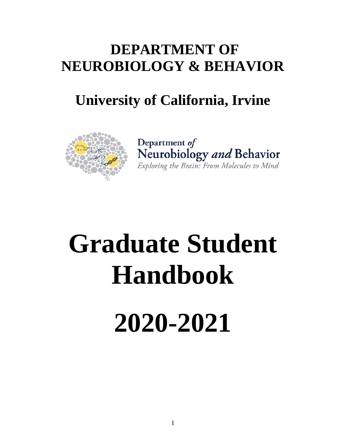# **DEPARTMENT OF NEUROBIOLOGY & BEHAVIOR**

# **University of California, Irvine**



Department of Neurobiology and Behavior Exploring the Brain: From Molecules to Mind

# **Graduate Student Handbook**

# **2020-2021**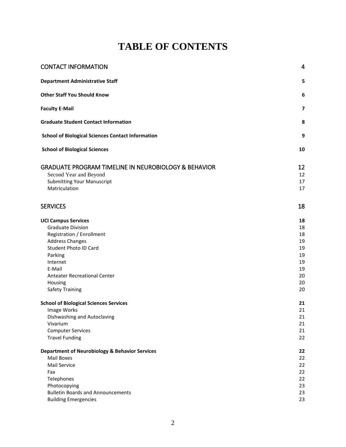# **TABLE OF CONTENTS**

| <b>CONTACT INFORMATION</b>                                      | 4                       |
|-----------------------------------------------------------------|-------------------------|
| <b>Department Administrative Staff</b>                          | 5                       |
| <b>Other Staff You Should Know</b>                              | 6                       |
| <b>Faculty E-Mail</b>                                           | $\overline{\mathbf{z}}$ |
| <b>Graduate Student Contact Information</b>                     | 8                       |
| <b>School of Biological Sciences Contact Information</b>        | 9                       |
| <b>School of Biological Sciences</b>                            | 10                      |
| <b>GRADUATE PROGRAM TIMELINE IN NEUROBIOLOGY &amp; BEHAVIOR</b> | 12                      |
| Second Year and Beyond                                          | 12                      |
| <b>Submitting Your Manuscript</b>                               | 17                      |
| Matriculation                                                   | 17                      |
| <b>SERVICES</b>                                                 | 18                      |
| <b>UCI Campus Services</b>                                      | 18                      |
| <b>Graduate Division</b>                                        | 18                      |
| Registration / Enrollment                                       | 18                      |
| <b>Address Changes</b>                                          | 19                      |
| Student Photo ID Card                                           | 19                      |
| Parking                                                         | 19                      |
| Internet<br>E-Mail                                              | 19                      |
| <b>Anteater Recreational Center</b>                             | 19<br>20                |
| Housing                                                         | 20                      |
| <b>Safety Training</b>                                          | 20                      |
|                                                                 |                         |
| <b>School of Biological Sciences Services</b>                   | 21                      |
| Image Works                                                     | 21                      |
| Dishwashing and Autoclaving                                     | 21                      |
| Vivarium                                                        | 21                      |
| <b>Computer Services</b>                                        | 21                      |
| <b>Travel Funding</b>                                           | 22                      |
| <b>Department of Neurobiology &amp; Behavior Services</b>       | 22                      |
| Mail Boxes                                                      | 22                      |
| Mail Service                                                    | 22                      |
| Fax                                                             | 22                      |
| Telephones                                                      | 22                      |
| Photocopying<br><b>Bulletin Boards and Announcements</b>        | 23<br>23                |
| <b>Building Emergencies</b>                                     | 23                      |
|                                                                 |                         |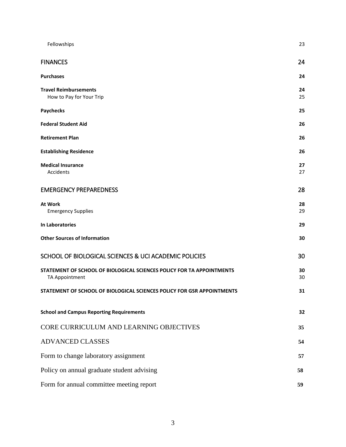| Fellowships                                                                             | 23       |
|-----------------------------------------------------------------------------------------|----------|
| <b>FINANCES</b>                                                                         | 24       |
| <b>Purchases</b>                                                                        | 24       |
| <b>Travel Reimbursements</b><br>How to Pay for Your Trip                                | 24<br>25 |
| <b>Paychecks</b>                                                                        | 25       |
| <b>Federal Student Aid</b>                                                              | 26       |
| <b>Retirement Plan</b>                                                                  | 26       |
| <b>Establishing Residence</b>                                                           | 26       |
| <b>Medical Insurance</b><br>Accidents                                                   | 27<br>27 |
| <b>EMERGENCY PREPAREDNESS</b>                                                           | 28       |
| At Work<br><b>Emergency Supplies</b>                                                    | 28<br>29 |
| In Laboratories                                                                         | 29       |
| <b>Other Sources of Information</b>                                                     | 30       |
| SCHOOL OF BIOLOGICAL SCIENCES & UCI ACADEMIC POLICIES                                   | 30       |
| STATEMENT OF SCHOOL OF BIOLOGICAL SCIENCES POLICY FOR TA APPOINTMENTS<br>TA Appointment | 30<br>30 |
| STATEMENT OF SCHOOL OF BIOLOGICAL SCIENCES POLICY FOR GSR APPOINTMENTS                  | 31       |
| <b>School and Campus Reporting Requirements</b>                                         | 32       |
| CORE CURRICULUM AND LEARNING OBJECTIVES                                                 | 35       |
| <b>ADVANCED CLASSES</b>                                                                 | 54       |
| Form to change laboratory assignment                                                    | 57       |
| Policy on annual graduate student advising                                              | 58       |
| Form for annual committee meeting report                                                | 59       |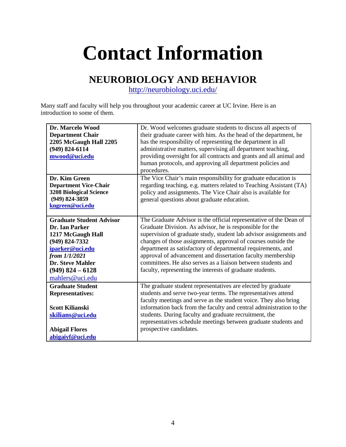# <span id="page-3-0"></span>**Contact Information**

# **NEUROBIOLOGY AND BEHAVIOR**

<http://neurobiology.uci.edu/>

Many staff and faculty will help you throughout your academic career at UC Irvine. Here is an introduction to some of them.

| Dr. Marcelo Wood<br><b>Department Chair</b><br>2205 McGaugh Hall 2205<br>$(949)$ 824-6114<br>mwood@uci.edu                                                                                       | Dr. Wood welcomes graduate students to discuss all aspects of<br>their graduate career with him. As the head of the department, he<br>has the responsibility of representing the department in all<br>administrative matters, supervising all department teaching,<br>providing oversight for all contracts and grants and all animal and                                                                                                                                                                                         |
|--------------------------------------------------------------------------------------------------------------------------------------------------------------------------------------------------|-----------------------------------------------------------------------------------------------------------------------------------------------------------------------------------------------------------------------------------------------------------------------------------------------------------------------------------------------------------------------------------------------------------------------------------------------------------------------------------------------------------------------------------|
|                                                                                                                                                                                                  | human protocols, and approving all department policies and<br>procedures.                                                                                                                                                                                                                                                                                                                                                                                                                                                         |
| Dr. Kim Green<br><b>Department Vice-Chair</b><br><b>3208 Biological Science</b><br>$(949) 824 - 3859$<br>kngreen@uci.edu                                                                         | The Vice Chair's main responsibility for graduate education is<br>regarding teaching, e.g. matters related to Teaching Assistant (TA)<br>policy and assignments. The Vice Chair also is available for<br>general questions about graduate education.                                                                                                                                                                                                                                                                              |
| <b>Graduate Student Advisor</b><br>Dr. Ian Parker<br>1217 McGaugh Hall<br>(949) 824-7332<br>iparker@uci.edu<br>from 1/1/2021<br><b>Dr. Steve Mahler</b><br>$(949)$ 824 - 6128<br>mahlers@uci.edu | The Graduate Advisor is the official representative of the Dean of<br>Graduate Division. As advisor, he is responsible for the<br>supervision of graduate study, student lab advisor assignments and<br>changes of those assignments, approval of courses outside the<br>department as satisfactory of departmental requirements, and<br>approval of advancement and dissertation faculty membership<br>committees. He also serves as a liaison between students and<br>faculty, representing the interests of graduate students. |
| <b>Graduate Student</b><br><b>Representatives:</b><br><b>Scott Kilianski</b><br>skilians@uci.edu<br><b>Abigail Flores</b><br>abigaiyf@uci.edu                                                    | The graduate student representatives are elected by graduate<br>students and serve two-year terms. The representatives attend<br>faculty meetings and serve as the student voice. They also bring<br>information back from the faculty and central administration to the<br>students. During faculty and graduate recruitment, the<br>representatives schedule meetings between graduate students and<br>prospective candidates.                                                                                                  |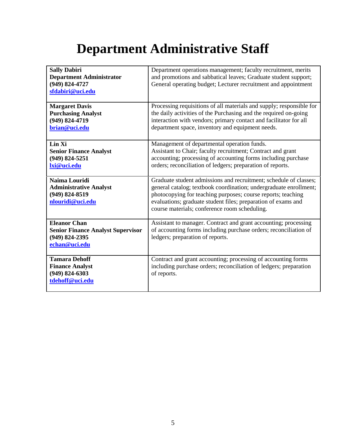# **Department Administrative Staff**

<span id="page-4-0"></span>

| <b>Sally Dabiri</b><br><b>Department Administrator</b><br>(949) 824-4727<br>sfdabiri@uci.edu           | Department operations management; faculty recruitment, merits<br>and promotions and sabbatical leaves; Graduate student support;<br>General operating budget; Lecturer recruitment and appointment                                                                                                                       |
|--------------------------------------------------------------------------------------------------------|--------------------------------------------------------------------------------------------------------------------------------------------------------------------------------------------------------------------------------------------------------------------------------------------------------------------------|
| <b>Margaret Davis</b><br><b>Purchasing Analyst</b><br>(949) 824-4719<br>brian@uci.edu                  | Processing requisitions of all materials and supply; responsible for<br>the daily activities of the Purchasing and the required on-going<br>interaction with vendors; primary contact and facilitator for all<br>department space, inventory and equipment needs.                                                        |
| Lin Xi<br><b>Senior Finance Analyst</b><br>$(949) 824 - 5251$<br>lxi@uci.edu                           | Management of departmental operation funds.<br>Assistant to Chair; faculty recruitment; Contract and grant<br>accounting; processing of accounting forms including purchase<br>orders; reconciliation of ledgers; preparation of reports.                                                                                |
| Naima Louridi<br><b>Administrative Analyst</b><br>$(949)$ 824-8519<br>nlouridi@uci.edu                 | Graduate student admissions and recruitment; schedule of classes;<br>general catalog; textbook coordination; undergraduate enrollment;<br>photocopying for teaching purposes; course reports; teaching<br>evaluations; graduate student files; preparation of exams and<br>course materials; conference room scheduling. |
| <b>Eleanor Chan</b><br><b>Senior Finance Analyst Supervisor</b><br>$(949) 824 - 2395$<br>echan@uci.edu | Assistant to manager. Contract and grant accounting; processing<br>of accounting forms including purchase orders; reconciliation of<br>ledgers; preparation of reports.                                                                                                                                                  |
| <b>Tamara Dehoff</b><br><b>Finance Analyst</b><br>$(949) 824 - 6303$<br>tdehoff@uci.edu                | Contract and grant accounting; processing of accounting forms<br>including purchase orders; reconciliation of ledgers; preparation<br>of reports.                                                                                                                                                                        |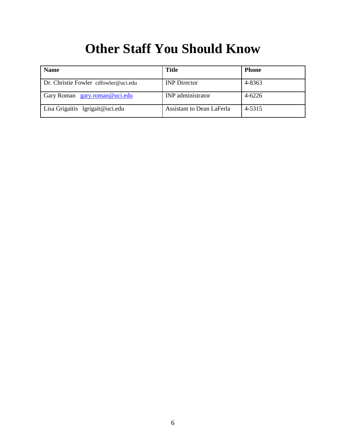# **Other Staff You Should Know**

<span id="page-5-0"></span>

| <b>Name</b>                          | <b>Title</b>              | Phone  |
|--------------------------------------|---------------------------|--------|
| Dr. Christie Fowler cdfowler@uci.edu | <b>INP</b> Director       | 4-8363 |
| Gary Roman gary.roman@uci.edu        | <b>INP</b> administrator  | 4-6226 |
| Lisa Grigaitis lgrigait@uci.edu      | Assistant to Dean LaFerla | 4-5315 |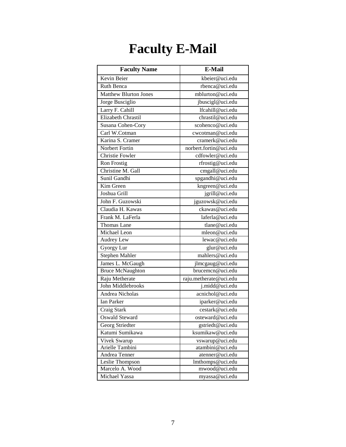# **Faculty E-Mail**

<span id="page-6-0"></span>

| <b>Faculty Name</b>          | <b>E-Mail</b>          |
|------------------------------|------------------------|
| Kevin Beier                  | kbeier@uci.edu         |
| <b>Ruth Benca</b>            | rbenca@uci.edu         |
| <b>Matthew Blurton Jones</b> | mblurton@uci.edu       |
| Jorge Busciglio              | jbuscigl@uci.edu       |
| Larry F. Cahill              | lfcahill@uci.edu       |
| Elizabeth Chrastil           | chrastil@uci.edu       |
| Susana Cohen-Cory            | scohenco@uci.edu       |
| Carl W.Cotman                | cwcotman@uci.edu       |
| Karina S. Cramer             | cramerk@uci.edu        |
| Norbert Fortin               | norbert.fortin@uci.edu |
| Christie Fowler              | cdfowler@uci.edu       |
| Ron Frostig                  | rfrostig@uci.edu       |
| Christine M. Gall            | cmgall@uci.edu         |
| Sunil Gandhi                 | spgandhi@uci.edu       |
| Kim Green                    | kngreen@uci.edu        |
| Joshua Grill                 | jgrill@uci.edu         |
| John F. Guzowski             | jguzowsk@uci.edu       |
| Claudia H. Kawas             | ckawas@uci.edu         |
| Frank M. LaFerla             | laferla@uci.edu        |
| Thomas Lane                  | tlane@uci.edu          |
| Michael Leon                 | mleon@uci.edu          |
| Audrey Lew                   | lewac@uci.edu          |
| Gyorgy Lur                   | glur@uci.edu           |
| Stephen Mahler               | mahlers@uci.edu        |
| James L. McGaugh             | jlmcgaug@uci.edu       |
| <b>Bruce McNaughton</b>      | brucemcn@uci.edu       |
| Raju Metherate               | raju.metherate@uci.edu |
| John Middlebrooks            | j.midd@uci.edu         |
| Andrea Nicholas              | acnichol@uci.edu       |
| Ian Parker                   | iparker@uci.edu        |
| Craig Stark                  | cestark@uci.edu        |
| Oswald Steward               | osteward@uci.edu       |
| Georg Striedter              | gstriedt@uci.edu       |
| Katumi Sumikawa              | ksumikaw@uci.edu       |
| Vivek Swarup                 | vswarup@uci.edu        |
| Arielle Tambini              | atambini@uci.edu       |
| Andrea Tenner                | atenner@uci.edu        |
| Leslie Thompson              | lmthomps@uci.edu       |
| Marcelo A. Wood              | mwood@uci.edu          |
| Michael Yassa                | myassa@uci.edu         |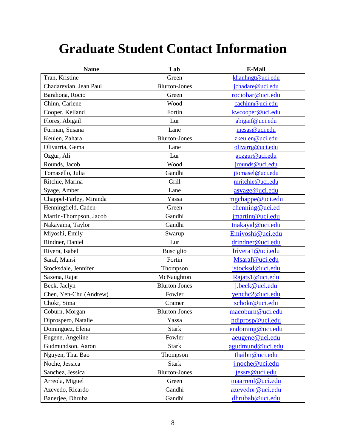# <span id="page-7-0"></span>**Graduate Student Contact Information**

| <b>Name</b>             | Lab                  | <b>E-Mail</b>    |  |
|-------------------------|----------------------|------------------|--|
| Tran, Kristine          | Green                | khanhngt@uci.edu |  |
| Chadarevian, Jean Paul  | <b>Blurton-Jones</b> | jchadare@uci.edu |  |
| Barahona, Rocio         | Green                | rociobar@uci.edu |  |
| Chinn, Carlene          | Wood                 | cachinn@uci.edu  |  |
| Cooper, Keiland         | Fortin               | kwcooper@uci.edu |  |
| Flores, Abigail         | Lur                  | abigaif@uci.edu  |  |
| Furman, Susana          | Lane                 | mesas@uci.edu    |  |
| Keulen, Zahara          | <b>Blurton-Jones</b> | zkeulen@uci.edu  |  |
| Olivarria, Gema         | Lane                 | olivarrg@uci.edu |  |
| Ozgur, Ali              | Lur                  | aozgur@uci.edu   |  |
| Rounds, Jacob           | Wood                 | jrounds@uci.edu  |  |
| Tomasello, Julia        | Gandhi               | jtomasel@uci.edu |  |
| Ritchie, Marina         | Grill                | mritchie@uci.edu |  |
| Syage, Amber            | Lane                 | asyage@uci.edu   |  |
| Chappel-Farley, Miranda | Yassa                | mgchappe@uci.edu |  |
| Henningfield, Caden     | Green                | chenning@uci.ed  |  |
| Martin-Thompson, Jacob  | Gandhi               | jmartint@uci.edu |  |
| Nakayama, Taylor        | Gandhi               | tnakayal@uci.edu |  |
| Miyoshi, Emily          | Swarup               | Emiyoshi@uci.edu |  |
| Rindner, Daniel         | Lur                  | drindner@uci.edu |  |
| Rivera, Isabel          | <b>Busciglio</b>     | Irivera1@uci.edu |  |
| Saraf, Mansi            | Fortin               | Msaraf@uci.edu   |  |
| Stocksdale, Jennifer    | Thompson             | jstocksd@uci.edu |  |
| Saxena, Rajat           | McNaughton           | Rajats1@uci.edu  |  |
| Beck, Jaclyn            | <b>Blurton-Jones</b> | j.beck@uci.edu   |  |
| Chen, Yen-Chu (Andrew)  | Fowler               | yenchc2@uci.edu  |  |
| Chokr, Sima             | Cramer               | schokr@uci.edu   |  |
| Coburn, Morgan          | <b>Blurton-Jones</b> | macoburn@uci.edu |  |
| Diprospero, Natalie     | Yassa                | ndiprosp@uci.edu |  |
| Dominguez, Elena        | <b>Stark</b>         | endoming@uci.edu |  |
| Eugene, Angeline        | Fowler               | aeugene@uci.edu  |  |
| Gudmundson, Aaron       | <b>Stark</b>         | agudmund@uci.edu |  |
| Nguyen, Thai Bao        | Thompson             | thaibn@uci.edu   |  |
| Noche, Jessica          | <b>Stark</b>         | i.noche@uci.edu  |  |
| Sanchez, Jessica        | <b>Blurton-Jones</b> | jessrs@uci.edu   |  |
| Arreola, Miguel         | Green                | maarreol@uci.edu |  |
| Azevedo, Ricardo        | Gandhi               | azevedor@uci.edu |  |
| Banerjee, Dhruba        | Gandhi               | dhrubab@uci.edu  |  |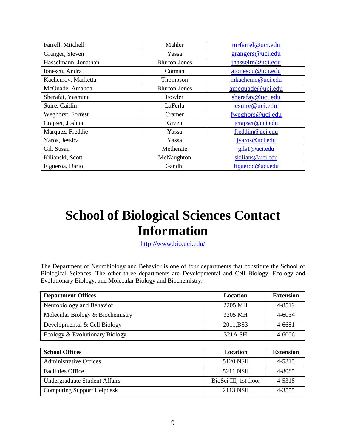| Farrell, Mitchell    | Mahler               | mrfarrel@uci.edu |  |
|----------------------|----------------------|------------------|--|
| Granger, Steven      | Yassa                | grangers@uci.edu |  |
| Hasselmann, Jonathan | <b>Blurton-Jones</b> | jhasselm@uci.edu |  |
| Ionescu, Andra       | Cotman               | aionescu@uci.edu |  |
| Kachemov, Marketta   | Thompson             | mkachemo@uci.edu |  |
| McQuade, Amanda      | <b>Blurton-Jones</b> | amcquade@uci.edu |  |
| Sherafat, Yasmine    | Fowler               | sherafay@uci.edu |  |
| Suire, Caitlin       | LaFerla              | csuire@uci.edu   |  |
| Weghorst, Forrest    | Cramer               | fweghors@uci.edu |  |
| Crapser, Joshua      | Green                | jcrapser@uci.edu |  |
| Marquez, Freddie     | Yassa                | freddim@uci.edu  |  |
| Yaros, Jessica       | Yassa                | jyaros@uci.edu   |  |
| Gil, Susan           | Metherate            | gils1@uci.edu    |  |
| Kilianski, Scott     | McNaughton           | skilians@uci.edu |  |
| Figueroa, Dario      | Gandhi               | figuerod@uci.edu |  |

# <span id="page-8-0"></span>**School of Biological Sciences Contact Information**

<http://www.bio.uci.edu/>

The Department of Neurobiology and Behavior is one of four departments that constitute the School of Biological Sciences. The other three departments are Developmental and Cell Biology, Ecology and Evolutionary Biology, and Molecular Biology and Biochemistry.

| <b>Department Offices</b>        | Location              | <b>Extension</b> |
|----------------------------------|-----------------------|------------------|
| Neurobiology and Behavior        | 2205 MH               | 4-8519           |
| Molecular Biology & Biochemistry | 3205 MH               | 4-6034           |
| Developmental & Cell Biology     | 2011, BS3             | 4-6681           |
| Ecology & Evolutionary Biology   | 321A SH               | 4-6006           |
|                                  |                       |                  |
| <b>School Offices</b>            | <b>Location</b>       |                  |
|                                  |                       | <b>Extension</b> |
| <b>Administrative Offices</b>    | 5120 NSII             | 4-5315           |
| <b>Facilities Office</b>         | 5211 NSII             | 4-8085           |
| Undergraduate Student Affairs    | BioSci III, 1st floor | 4-5318           |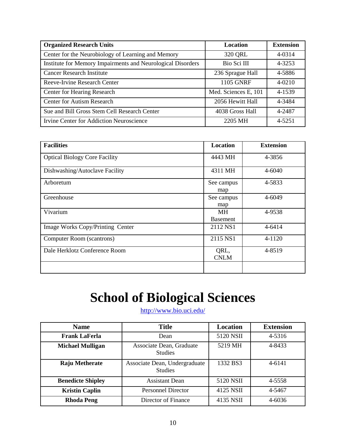| <b>Organized Research Units</b>                             | <b>Location</b>      | <b>Extension</b> |
|-------------------------------------------------------------|----------------------|------------------|
| Center for the Neurobiology of Learning and Memory          | 320 QRL              | 4-0314           |
| Institute for Memory Impairments and Neurological Disorders | Bio Sci III          | 4-3253           |
| <b>Cancer Research Institute</b>                            | 236 Sprague Hall     | 4-5886           |
| Reeve-Irvine Research Center                                | <b>1105 GNRF</b>     | $4 - 0210$       |
| <b>Center for Hearing Research</b>                          | Med. Sciences E, 101 | 4-1539           |
| <b>Center for Autism Research</b>                           | 2056 Hewitt Hall     | 4-3484           |
| Sue and Bill Gross Stem Cell Research Center                | 4038 Gross Hall      | 4-2487           |
| Irvine Center for Addiction Neuroscience                    | 2205 MH              | 4-5251           |

| <b>Facilities</b>                    | <b>Location</b>              | <b>Extension</b> |
|--------------------------------------|------------------------------|------------------|
| <b>Optical Biology Core Facility</b> | 4443 MH                      | 4-3856           |
| Dishwashing/Autoclave Facility       | 4311 MH                      | 4-6040           |
| Arboretum                            | See campus<br>map            | 4-5833           |
| Greenhouse                           | See campus<br>map            | 4-6049           |
| Vivarium                             | <b>MH</b><br><b>Basement</b> | 4-9538           |
| Image Works Copy/Printing Center     | 2112 NS1                     | 4-6414           |
| Computer Room (scantrons)            | 2115 NS1                     | 4-1120           |
| Dale Herklotz Conference Room        | QRL,<br><b>CNLM</b>          | 4-8519           |
|                                      |                              |                  |

# **School of Biological Sciences**

<http://www.bio.uci.edu/>

<span id="page-9-0"></span>

| <b>Name</b>              | <b>Title</b>                                    | Location  | <b>Extension</b> |
|--------------------------|-------------------------------------------------|-----------|------------------|
| <b>Frank LaFerla</b>     | Dean                                            | 5120 NSII | 4-5316           |
| <b>Michael Mulligan</b>  | Associate Dean, Graduate<br><b>Studies</b>      | 5219 MH   | 4-8433           |
| Raju Metherate           | Associate Dean, Undergraduate<br><b>Studies</b> | 1332 BS3  | 4-6141           |
| <b>Benedicte Shipley</b> | Assistant Dean                                  | 5120 NSII | 4-5558           |
| <b>Kristin Caplin</b>    | <b>Personnel Director</b>                       | 4125 NSII | 4-5467           |
| <b>Rhoda Peng</b>        | Director of Finance                             | 4135 NSII | 4-6036           |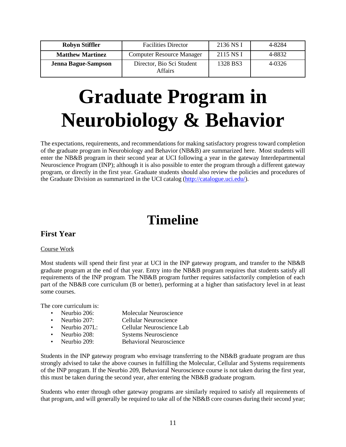| <b>Robyn Stiffler</b>      | <b>Facilities Director</b>           | 2136 NS I | 4-8284 |
|----------------------------|--------------------------------------|-----------|--------|
| <b>Matthew Martinez</b>    | <b>Computer Resource Manager</b>     | 2115 NS I | 4-8832 |
| <b>Jenna Bague-Sampson</b> | Director, Bio Sci Student<br>Affairs | 1328 BS3  | 4-0326 |

# **Graduate Program in Neurobiology & Behavior**

The expectations, requirements, and recommendations for making satisfactory progress toward completion of the graduate program in Neurobiology and Behavior (NB&B) are summarized here. Most students will enter the NB&B program in their second year at UCI following a year in the gateway Interdepartmental Neuroscience Program (INP); although it is also possible to enter the program through a different gateway program, or directly in the first year. Graduate students should also review the policies and procedures of the Graduate Division as summarized in the UCI catalog [\(http://catalogue.uci.edu/\)](http://catalogue.uci.edu/).

# **Timeline**

# **First Year**

### Course Work

Most students will spend their first year at UCI in the INP gateway program, and transfer to the NB&B graduate program at the end of that year. Entry into the NB&B program requires that students satisfy all requirements of the INP program. The NB&B program further requires satisfactorily completion of each part of the NB&B core curriculum (B or better), performing at a higher than satisfactory level in at least some courses.

The core curriculum is:

| • Neurbio 206:  | <b>Molecular Neuroscience</b>  |
|-----------------|--------------------------------|
| • Neurbio 207:  | <b>Cellular Neuroscience</b>   |
| • Neurbio 207L: | Cellular Neuroscience Lab      |
| • Neurbio 208:  | <b>Systems Neuroscience</b>    |
| • Neurbio 209:  | <b>Behavioral Neuroscience</b> |

Students in the INP gateway program who envisage transferring to the NB&B graduate program are thus strongly advised to take the above courses in fulfilling the Molecular, Cellular and Systems requirements of the INP program. If the Neurbio 209, Behavioral Neuroscience course is not taken during the first year, this must be taken during the second year, after entering the NB&B graduate program.

Students who enter through other gateway programs are similarly required to satisfy all requirements of that program, and will generally be required to take all of the NB&B core courses during their second year;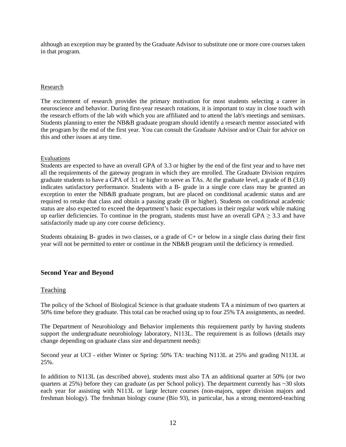although an exception may be granted by the Graduate Advisor to substitute one or more core courses taken in that program.

#### Research

The excitement of research provides the primary motivation for most students selecting a career in neuroscience and behavior. During first-year research rotations, it is important to stay in close touch with the research efforts of the lab with which you are affiliated and to attend the lab's meetings and seminars. Students planning to enter the NB&B graduate program should identify a research mentor associated with the program by the end of the first year. You can consult the Graduate Advisor and/or Chair for advice on this and other issues at any time.

#### Evaluations

Students are expected to have an overall GPA of 3.3 or higher by the end of the first year and to have met all the requirements of the gateway program in which they are enrolled. The Graduate Division requires graduate students to have a GPA of 3.1 or higher to serve as TAs. At the graduate level, a grade of B (3.0) indicates satisfactory performance. Students with a B- grade in a single core class may be granted an exception to enter the NB&B graduate program, but are placed on conditional academic status and are required to retake that class and obtain a passing grade (B or higher). Students on conditional academic status are also expected to exceed the department's basic expectations in their regular work while making up earlier deficiencies. To continue in the program, students must have an overall GPA  $\geq$  3.3 and have satisfactorily made up any core course deficiency.

Students obtaining B- grades in two classes, or a grade of C+ or below in a single class during their first year will not be permitted to enter or continue in the NB&B program until the deficiency is remedied.

### <span id="page-11-0"></span>**Second Year and Beyond**

### Teaching

The policy of the School of Biological Science is that graduate students TA a minimum of two quarters at 50% time before they graduate. This total can be reached using up to four 25% TA assignments, as needed.

The Department of Neurobiology and Behavior implements this requirement partly by having students support the undergraduate neurobiology laboratory, N113L. The requirement is as follows (details may change depending on graduate class size and department needs):

Second year at UCI - either Winter or Spring: 50% TA: teaching N113L at 25% and grading N113L at 25%.

In addition to N113L (as described above), students must also TA an additional quarter at 50% (or two quarters at  $25\%$ ) before they can graduate (as per School policy). The department currently has  $\sim$ 30 slots each year for assisting with N113L or large lecture courses (non-majors, upper division majors and freshman biology). The freshman biology course (Bio 93), in particular, has a strong mentored-teaching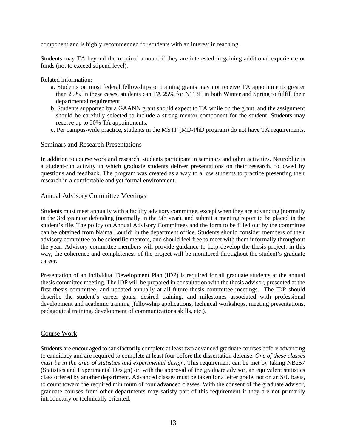component and is highly recommended for students with an interest in teaching.

Students may TA beyond the required amount if they are interested in gaining additional experience or funds (not to exceed stipend level).

Related information:

- a. Students on most federal fellowships or training grants may not receive TA appointments greater than 25%. In these cases, students can TA 25% for N113L in both Winter and Spring to fulfill their departmental requirement.
- b. Students supported by a GAANN grant should expect to TA while on the grant, and the assignment should be carefully selected to include a strong mentor component for the student. Students may receive up to 50% TA appointments.
- c. Per campus-wide practice, students in the MSTP (MD-PhD program) do not have TA requirements.

#### Seminars and Research Presentations

In addition to course work and research, students participate in seminars and other activities. Neuroblitz is a student-run activity in which graduate students deliver presentations on their research, followed by questions and feedback. The program was created as a way to allow students to practice presenting their research in a comfortable and yet formal environment.

#### Annual Advisory Committee Meetings

Students must meet annually with a faculty advisory committee, except when they are advancing (normally in the 3rd year) or defending (normally in the 5th year), and submit a meeting report to be placed in the student's file. The policy on Annual Advisory Committees and the form to be filled out by the committee can be obtained from Naima Louridi in the department office. Students should consider members of their advisory committee to be scientific mentors, and should feel free to meet with them informally throughout the year. Advisory committee members will provide guidance to help develop the thesis project; in this way, the coherence and completeness of the project will be monitored throughout the student's graduate career.

Presentation of an Individual Development Plan (IDP) is required for all graduate students at the annual thesis committee meeting. The IDP will be prepared in consultation with the thesis advisor, presented at the first thesis committee, and updated annually at all future thesis committee meetings. The IDP should describe the student's career goals, desired training, and milestones associated with professional development and academic training (fellowship applications, technical workshops, meeting presentations, pedagogical training, development of communications skills, etc.).

#### Course Work

Students are encouraged to satisfactorily complete at least two advanced graduate courses before advancing to candidacy and are required to complete at least four before the dissertation defense. *One of these classes must be in the area of statistics and experimental design*. This requirement can be met by taking NB257 (Statistics and Experimental Design) or, with the approval of the graduate advisor, an equivalent statistics class offered by another department. Advanced classes must be taken for a letter grade, not on an S/U basis, to count toward the required minimum of four advanced classes. With the consent of the graduate advisor, graduate courses from other departments may satisfy part of this requirement if they are not primarily introductory or technically oriented.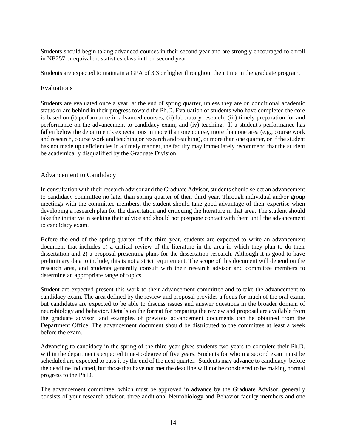Students should begin taking advanced courses in their second year and are strongly encouraged to enroll in NB257 or equivalent statistics class in their second year.

Students are expected to maintain a GPA of 3.3 or higher throughout their time in the graduate program.

#### Evaluations

Students are evaluated once a year, at the end of spring quarter, unless they are on conditional academic status or are behind in their progress toward the Ph.D. Evaluation of students who have completed the core is based on (i) performance in advanced courses; (ii) laboratory research; (iii) timely preparation for and performance on the advancement to candidacy exam; and (iv) teaching. If a student's performance has fallen below the department's expectations in more than one course, more than one area (e.g., course work and research, course work and teaching or research and teaching), or more than one quarter, or if the student has not made up deficiencies in a timely manner, the faculty may immediately recommend that the student be academically disqualified by the Graduate Division.

### Advancement to Candidacy

In consultation with their research advisor and the Graduate Advisor, students should select an advancement to candidacy committee no later than spring quarter of their third year. Through individual and/or group meetings with the committee members, the student should take good advantage of their expertise when developing a research plan for the dissertation and critiquing the literature in that area. The student should take the initiative in seeking their advice and should not postpone contact with them until the advancement to candidacy exam.

Before the end of the spring quarter of the third year, students are expected to write an advancement document that includes 1) a critical review of the literature in the area in which they plan to do their dissertation and 2) a proposal presenting plans for the dissertation research. Although it is good to have preliminary data to include, this is not a strict requirement. The scope of this document will depend on the research area, and students generally consult with their research advisor and committee members to determine an appropriate range of topics.

Student are expected present this work to their advancement committee and to take the advancement to candidacy exam. The area defined by the review and proposal provides a focus for much of the oral exam, but candidates are expected to be able to discuss issues and answer questions in the broader domain of neurobiology and behavior. Details on the format for preparing the review and proposal are available from the graduate advisor, and examples of previous advancement documents can be obtained from the Department Office. The advancement document should be distributed to the committee at least a week before the exam.

Advancing to candidacy in the spring of the third year gives students two years to complete their Ph.D. within the department's expected time-to-degree of five years. Students for whom a second exam must be scheduled are expected to pass it by the end of the next quarter. Students may advance to candidacy before the deadline indicated, but those that have not met the deadline will not be considered to be making normal progress to the Ph.D.

The advancement committee, which must be approved in advance by the Graduate Advisor, generally consists of your research advisor, three additional Neurobiology and Behavior faculty members and one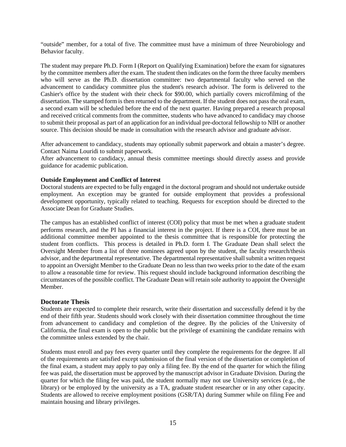"outside" member, for a total of five. The committee must have a minimum of three Neurobiology and Behavior faculty.

The student may prepare Ph.D. Form I (Report on Qualifying Examination) before the exam for signatures by the committee members after the exam. The student then indicates on the form the three faculty members who will serve as the Ph.D. dissertation committee: two departmental faculty who served on the advancement to candidacy committee plus the student's research advisor. The form is delivered to the Cashier's office by the student with their check for \$90.00, which partially covers microfilming of the dissertation. The stamped form is then returned to the department. If the student does not pass the oral exam, a second exam will be scheduled before the end of the next quarter. Having prepared a research proposal and received critical comments from the committee, students who have advanced to candidacy may choose to submit their proposal as part of an application for an individual pre-doctoral fellowship to NIH or another source. This decision should be made in consultation with the research advisor and graduate advisor.

After advancement to candidacy, students may optionally submit paperwork and obtain a master's degree. Contact Naima Louridi to submit paperwork.

After advancement to candidacy, annual thesis committee meetings should directly assess and provide guidance for academic publication.

### **Outside Employment and Conflict of Interest**

Doctoral students are expected to be fully engaged in the doctoral program and should not undertake outside employment. An exception may be granted for outside employment that provides a professional development opportunity, typically related to teaching. Requests for exception should be directed to the Associate Dean for Graduate Studies.

The campus has an established conflict of interest (COI) policy that must be met when a graduate student performs research, and the PI has a financial interest in the project. If there is a COI, there must be an additional committee member appointed to the thesis committee that is responsible for protecting the student from conflicts. This process is detailed in Ph.D. form I. The Graduate Dean shall select the Oversight Member from a list of three nominees agreed upon by the student, the faculty research/thesis advisor, and the departmental representative. The departmental representative shall submit a written request to appoint an Oversight Member to the Graduate Dean no less than two weeks prior to the date of the exam to allow a reasonable time for review. This request should include background information describing the circumstances of the possible conflict. The Graduate Dean will retain sole authority to appoint the Oversight Member.

#### **Doctorate Thesis**

Students are expected to complete their research, write their dissertation and successfully defend it by the end of their fifth year. Students should work closely with their dissertation committee throughout the time from advancement to candidacy and completion of the degree. By the policies of the University of California, the final exam is open to the public but the privilege of examining the candidate remains with the committee unless extended by the chair.

Students must enroll and pay fees every quarter until they complete the requirements for the degree. If all of the requirements are satisfied except submission of the final version of the dissertation or completion of the final exam, a student may apply to pay only a filing fee. By the end of the quarter for which the filing fee was paid, the dissertation must be approved by the manuscript advisor in Graduate Division. During the quarter for which the filing fee was paid, the student normally may not use University services (e.g., the library) or be employed by the university as a TA, graduate student researcher or in any other capacity. Students are allowed to receive employment positions (GSR/TA) during Summer while on filing Fee and maintain housing and library privileges.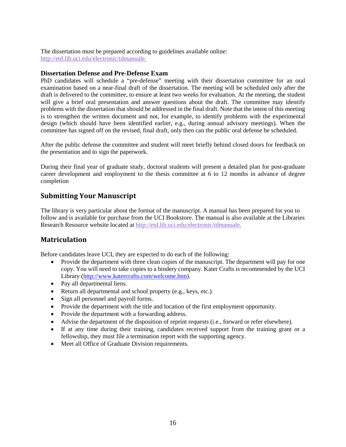The dissertation must be prepared according to guidelines available online: [http://etd.lib.uci.edu/electronic/tdmanuale.](http://etd.lib.uci.edu/electronic/tdmanuale)

#### **Dissertation Defense and Pre-Defense Exam**

PhD candidates will schedule a "pre-defense" meeting with their dissertation committee for an oral examination based on a near-final draft of the dissertation. The meeting will be scheduled only after the draft is delivered to the committee, to ensure at least two weeks for evaluation. At the meeting, the student will give a brief oral presentation and answer questions about the draft. The committee may identify problems with the dissertation that should be addressed in the final draft. Note that the intent of this meeting is to strengthen the written document and not, for example, to identify problems with the experimental design (which should have been identified earlier, e.g., during annual advisory meetings). When the committee has signed off on the revised, final draft, only then can the public oral defense be scheduled.

After the public defense the committee and student will meet briefly behind closed doors for feedback on the presentation and to sign the paperwork.

During their final year of graduate study, doctoral students will present a detailed plan for post-graduate career development and employment to the thesis committee at 6 to 12 months in advance of degree completion

# <span id="page-15-0"></span>**Submitting Your Manuscript**

The library is very particular about the format of the manuscript. A manual has been prepared for you to follow and is available for purchase from the UCI Bookstore. The manual is also available at the Libraries Research Resource website located at [http://etd.lib.uci.edu/electronic/tdmanuale.](http://etd.lib.uci.edu/electronic/tdmanuale)

# <span id="page-15-1"></span>**Matriculation**

Before candidates leave UCI, they are expected to do each of the following:

- Provide the department with three clean copies of the manuscript. The department will pay for one copy. You will need to take copies to a bindery company. Kater Crafts is recommended by the UCI Library [\(http://www.katercrafts.com/welcome.htm\)](http://www.katercrafts.com/welcome.htm).
- Pay all departmental liens.
- Return all departmental and school property (e.g., keys, etc.).
- Sign all personnel and payroll forms.
- Provide the department with the title and location of the first employment opportunity.
- Provide the department with a forwarding address.
- Advise the department of the disposition of reprint requests (i.e., forward or refer elsewhere).
- If at any time during their training, candidates received support from the training grant or a fellowship, they must file a termination report with the supporting agency.
- Meet all Office of Graduate Division requirements.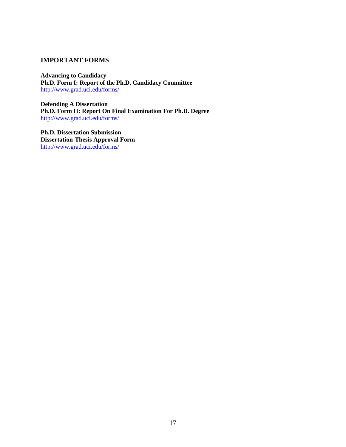### **IMPORTANT FORMS**

**Advancing to Candidacy Ph.D. Form I: Report of the Ph.D. Candidacy Committee**  <http://www.grad.uci.edu/forms/>

**Defending A Dissertation Ph.D. Form II: Report On Final Examination For Ph.D. Degree**  <http://www.grad.uci.edu/forms/>

**Ph.D. Dissertation Submission Dissertation-Thesis Approval Form**  <http://www.grad.uci.edu/forms/>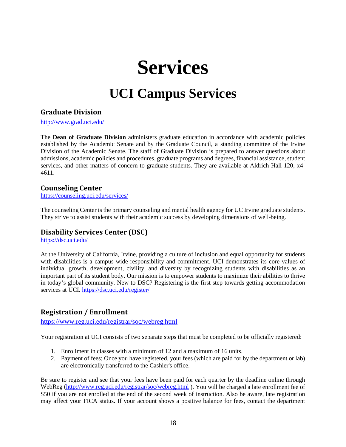# **Services**

# **UCI Campus Services**

# <span id="page-17-2"></span><span id="page-17-1"></span><span id="page-17-0"></span>**Graduate Division**

<http://www.grad.uci.edu/>

The **Dean of Graduate Division** administers graduate education in accordance with academic policies established by the Academic Senate and by the Graduate Council, a standing committee of the Irvine Division of the Academic Senate. The staff of Graduate Division is prepared to answer questions about admissions, academic policies and procedures, graduate programs and degrees, financial assistance, student services, and other matters of concern to graduate students. They are available at Aldrich Hall 120, x4- 4611.

### **Counseling Center**

<https://counseling.uci.edu/services/>

The counseling Center is the primary counseling and mental health agency for UC Irvine graduate students. They strive to assist students with their academic success by developing dimensions of well-being.

# **Disability Services Center (DSC)**

<https://dsc.uci.edu/>

At the University of California, Irvine, providing a culture of inclusion and equal opportunity for students with disabilities is a campus wide responsibility and commitment. UCI demonstrates its core values of individual growth, development, civility, and diversity by recognizing students with disabilities as an important part of its student body. Our mission is to empower students to maximize their abilities to thrive in today's global community. New to DSC? Registering is the first step towards getting accommodation services at UCI.<https://dsc.uci.edu/register/>

# <span id="page-17-3"></span>**Registration / Enrollment**

<https://www.reg.uci.edu/registrar/soc/webreg.html>

Your registration at UCI consists of two separate steps that must be completed to be officially registered:

- 1. Enrollment in classes with a minimum of 12 and a maximum of 16 units.
- 2. Payment of fees; Once you have registered, your fees (which are paid for by the department or lab) are electronically transferred to the Cashier's office.

Be sure to register and see that your fees have been paid for each quarter by the deadline online through WebReg [\(http://www.reg.uci.edu/registrar/soc/webreg.html](http://www.reg.uci.edu/registrar/soc/webreg.html) ). You will be charged a late enrollment fee of \$50 if you are not enrolled at the end of the second week of instruction. Also be aware, late registration may affect your FICA status. If your account shows a positive balance for fees, contact the department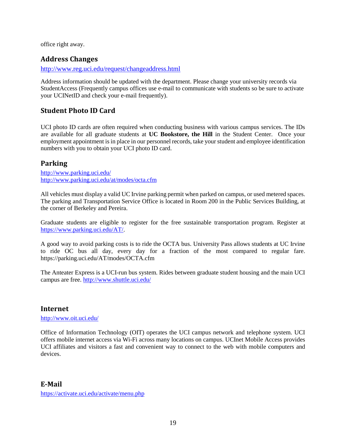office right away.

# <span id="page-18-0"></span>**Address Changes**

<http://www.reg.uci.edu/request/changeaddress.html>

Address information should be updated with the department. Please change your university records via StudentAccess (Frequently campus offices use e-mail to communicate with students so be sure to activate your UCINetID and check your e-mail frequently).

# <span id="page-18-1"></span>**Student Photo ID Card**

UCI photo ID cards are often required when conducting business with various campus services. The IDs are available for all graduate students at **UC Bookstore, the Hill** in the Student Center. Once your employment appointment is in place in our personnel records, take your student and employee identification numbers with you to obtain your UCI photo ID card.

# <span id="page-18-2"></span>**Parking**

<http://www.parking.uci.edu/> <http://www.parking.uci.edu/at/modes/octa.cfm>

All vehicles must display a valid UC Irvine parking permit when parked on campus, or used metered spaces. The parking and Transportation Service Office is located in Room 200 in the Public Services Building, at the corner of Berkeley and Pereira.

Graduate students are eligible to register for the free sustainable transportation program. Register at [https://www.parking.uci.edu/AT/.](https://www.parking.uci.edu/AT/)

A good way to avoid parking costs is to ride the OCTA bus. University Pass allows students at UC Irvine to ride OC bus all day, every day for a fraction of the most compared to regular fare. https://parking.uci.edu/AT/modes/OCTA.cfm

The Anteater Express is a UCI-run bus system. Rides between graduate student housing and the main UCI campus are free.<http://www.shuttle.uci.edu/>

# <span id="page-18-3"></span>**Internet**

<http://www.oit.uci.edu/>

<span id="page-18-4"></span>Office of Information Technology (OIT) operates the UCI campus network and telephone system. UCI offers mobile internet access via Wi-Fi across many locations on campus. UCInet Mobile Access provides UCI affiliates and visitors a fast and convenient way to connect to the web with mobile computers and devices.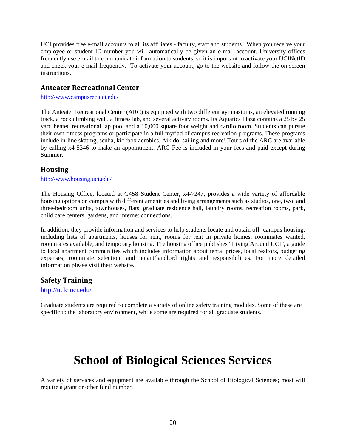UCI provides free e-mail accounts to all its affiliates - faculty, staff and students. When you receive your employee or student ID number you will automatically be given an e-mail account. University offices frequently use e-mail to communicate information to students, so it is important to activate your UCINetID and check your e-mail frequently. To activate your account, go to the website and follow the on-screen instructions.

# <span id="page-19-0"></span>**Anteater Recreational Center**

<http://www.campusrec.uci.edu/>

The Anteater Recreational Center (ARC) is equipped with two different gymnasiums, an elevated running track, a rock climbing wall, a fitness lab, and several activity rooms. Its Aquatics Plaza contains a 25 by 25 yard heated recreational lap pool and a 10,000 square foot weight and cardio room. Students can pursue their own fitness programs or participate in a full myriad of campus recreation programs. These programs include in-line skating, scuba, kickbox aerobics, Aikido, sailing and more! Tours of the ARC are available by calling x4-5346 to make an appointment. ARC Fee is included in your fees and paid except during Summer.

# <span id="page-19-1"></span>**Housing**

### <http://www.housing.uci.edu/>

The Housing Office, located at G458 Student Center, x4-7247, provides a wide variety of affordable housing options on campus with different amenities and living arrangements such as studios, one, two, and three-bedroom units, townhouses, flats, graduate residence hall, laundry rooms, recreation rooms, park, child care centers, gardens, and internet connections.

In addition, they provide information and services to help students locate and obtain off- campus housing, including lists of apartments, houses for rent, rooms for rent in private homes, roommates wanted, roommates available, and temporary housing. The housing office publishes "Living Around UCI", a guide to local apartment communities which includes information about rental prices, local realtors, budgeting expenses, roommate selection, and tenant/landlord rights and responsibilities. For more detailed information please visit their website.

# <span id="page-19-2"></span>**Safety Training**

### <http://uclc.uci.edu/>

<span id="page-19-3"></span>Graduate students are required to complete a variety of online safety training modules. Some of these are specific to the laboratory environment, while some are required for all graduate students.

# **School of Biological Sciences Services**

A variety of services and equipment are available through the School of Biological Sciences; most will require a grant or other fund number.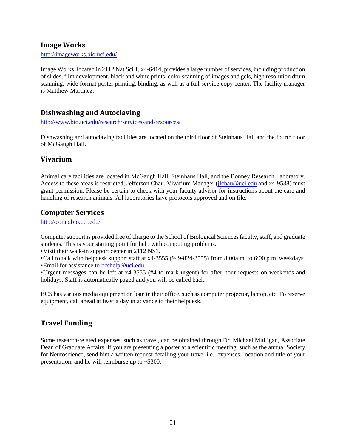# <span id="page-20-0"></span>**Image Works**

<http://imageworks.bio.uci.edu/>

Image Works, located in 2112 Nat Sci 1, x4-6414, provides a large number of services, including production of slides, film development, black and white prints, color scanning of images and gels, high resolution drum scanning, wide format poster printing, binding, as well as a full-service copy center. The facility manager is Matthew Martinez.

# <span id="page-20-1"></span>**Dishwashing and Autoclaving**

<http://www.bio.uci.edu/research/services-and-resources/>

Dishwashing and autoclaving facilities are located on the third floor of Steinhaus Hall and the fourth floor of McGaugh Hall.

# <span id="page-20-2"></span>**Vivarium**

Animal care facilities are located in McGaugh Hall, Steinhaus Hall, and the Bonney Research Laboratory. Access to these areas is restricted; Jefferson Chau, Vivarium Manager [\(jlchau@uci.edu](mailto:jlchau@uci.edu) and x4-9538) must grant permission. Please be certain to check with your faculty advisor for instructions about the care and handling of research animals. All laboratories have protocols approved and on file.

# <span id="page-20-3"></span>**Computer Services**

<http://comp.bio.uci.edu/>

Computer support is provided free of charge to the School of Biological Sciences faculty, staff, and graduate students. This is your starting point for help with computing problems.

•Visit their walk-in support center in 2112 NS1.

•Call to talk with helpdesk support staff at x4-3555 (949-824-3555) from 8:00a.m. to 6:00 p.m. weekdays.

• Email for assistance to [bcshelp@uci.edu](mailto:bcshelp@uci.edu)

•Urgent messages can be left at x4-3555 (#4 to mark urgent) for after hour requests on weekends and holidays. Staff is automatically paged and you will be called back.

BCS has various media equipment on loan in their office, such as computer projector, laptop, etc. To reserve equipment, call ahead at least a day in advance to their helpdesk.

# <span id="page-20-4"></span>**Travel Funding**

Some research-related expenses, such as travel, can be obtained through Dr. Michael Mulligan, Associate Dean of Graduate Affairs. If you are presenting a poster at a scientific meeting, such as the annual Society for Neuroscience, send him a written request detailing your travel i.e., expenses, location and title of your presentation, and he will reimburse up to ~\$300.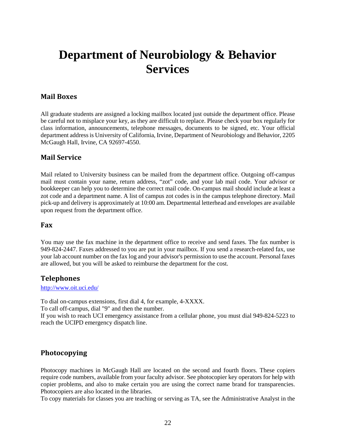# <span id="page-21-0"></span>**Department of Neurobiology & Behavior Services**

# <span id="page-21-1"></span>**Mail Boxes**

All graduate students are assigned a locking mailbox located just outside the department office. Please be careful not to misplace your key, as they are difficult to replace. Please check your box regularly for class information, announcements, telephone messages, documents to be signed, etc. Your official department address is University of California, Irvine, Department of Neurobiology and Behavior, 2205 McGaugh Hall, Irvine, CA 92697-4550.

# <span id="page-21-2"></span>**Mail Service**

Mail related to University business can be mailed from the department office. Outgoing off-campus mail must contain your name, return address, "zot" code, and your lab mail code. Your advisor or bookkeeper can help you to determine the correct mail code. On-campus mail should include at least a zot code and a department name. A list of campus zot codes is in the campus telephone directory. Mail pick-up and delivery is approximately at 10:00 am. Departmental letterhead and envelopes are available upon request from the department office.

### <span id="page-21-3"></span>**Fax**

You may use the fax machine in the department office to receive and send faxes. The fax number is 949-824-2447. Faxes addressed to you are put in your mailbox. If you send a research-related fax, use your lab account number on the fax log and your advisor's permission to use the account. Personal faxes are allowed, but you will be asked to reimburse the department for the cost.

### <span id="page-21-4"></span>**Telephones**

#### <http://www.oit.uci.edu/>

To dial on-campus extensions, first dial 4, for example, 4-XXXX. To call off-campus, dial "9" and then the number. If you wish to reach UCI emergency assistance from a cellular phone, you must dial 949-824-5223 to reach the UCIPD emergency dispatch line.

# <span id="page-21-5"></span>**Photocopying**

Photocopy machines in McGaugh Hall are located on the second and fourth floors. These copiers require code numbers, available from your faculty advisor. See photocopier key operators for help with copier problems, and also to make certain you are using the correct name brand for transparencies. Photocopiers are also located in the libraries.

To copy materials for classes you are teaching or serving as TA, see the Administrative Analyst in the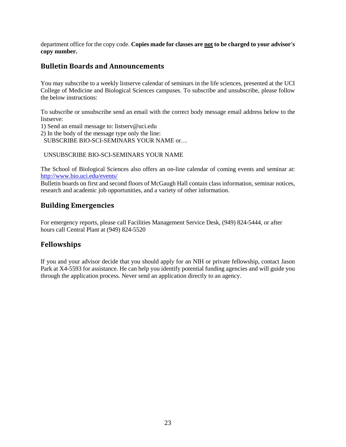department office for the copy code. **Copies made for classes are not to be charged to your advisor's copy number.** 

# <span id="page-22-0"></span>**Bulletin Boards and Announcements**

You may subscribe to a weekly listserve calendar of seminars in the life sciences, presented at the UCI College of Medicine and Biological Sciences campuses. To subscribe and unsubscribe, please follow the below instructions:

To subscribe or unsubscribe send an email with the correct body message email address below to the listserve:

1) Send an email message to: listserv@uci.edu

2) In the body of the message type only the line:

SUBSCRIBE BIO-SCI-SEMINARS YOUR NAME or…

UNSUBSCRIBE BIO-SCI-SEMINARS YOUR NAME

The School of Biological Sciences also offers an on-line calendar of coming events and seminar at: <http://www.bio.uci.edu/events/>

Bulletin boards on first and second floors of McGaugh Hall contain class information, seminar notices, research and academic job opportunities, and a variety of other information.

# <span id="page-22-1"></span>**Building Emergencies**

For emergency reports, please call Facilities Management Service Desk, (949) 824-5444, or after hours call Central Plant at (949) 824-5520

# <span id="page-22-2"></span>**Fellowships**

If you and your advisor decide that you should apply for an NIH or private fellowship, contact Jason Park at X4-5593 for assistance. He can help you identify potential funding agencies and will guide you through the application process. Never send an application directly to an agency.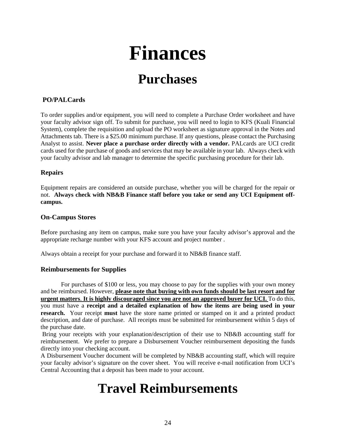# **Finances**

# **Purchases**

### <span id="page-23-1"></span><span id="page-23-0"></span>**PO/PALCards**

To order supplies and/or equipment, you will need to complete a Purchase Order worksheet and have your faculty advisor sign off. To submit for purchase, you will need to login to KFS (Kuali Financial System), complete the requisition and upload the PO worksheet as signature approval in the Notes and Attachments tab. There is a \$25.00 minimum purchase. If any questions, please contact the Purchasing Analyst to assist. **Never place a purchase order directly with a vendor.** PALcards are UCI credit cards used for the purchase of goods and services that may be available in your lab. Always check with your faculty advisor and lab manager to determine the specific purchasing procedure for their lab.

### **Repairs**

Equipment repairs are considered an outside purchase, whether you will be charged for the repair or not. **Always check with NB&B Finance staff before you take or send any UCI Equipment offcampus.** 

### **On-Campus Stores**

Before purchasing any item on campus, make sure you have your faculty advisor's approval and the appropriate recharge number with your KFS account and project number .

Always obtain a receipt for your purchase and forward it to NB&B finance staff.

#### **Reimbursements for Supplies**

For purchases of \$100 or less, you may choose to pay for the supplies with your own money and be reimbursed. However, **please note that buying with own funds should be last resort and for urgent matters**. **It is highly discouraged since you are not an approved buyer for UCI.** To do this, you must have a **receipt and a detailed explanation of how the items are being used in your research.** Your receipt **must** have the store name printed or stamped on it and a printed product description, and date of purchase. All receipts must be submitted for reimbursement within 5 days of the purchase date.

Bring your receipts with your explanation/description of their use to NB&B accounting staff for reimbursement. We prefer to prepare a Disbursement Voucher reimbursement depositing the funds directly into your checking account.

<span id="page-23-2"></span>A Disbursement Voucher document will be completed by NB&B accounting staff, which will require your faculty advisor's signature on the cover sheet. You will receive e-mail notification from UCI's Central Accounting that a deposit has been made to your account.

# **Travel Reimbursements**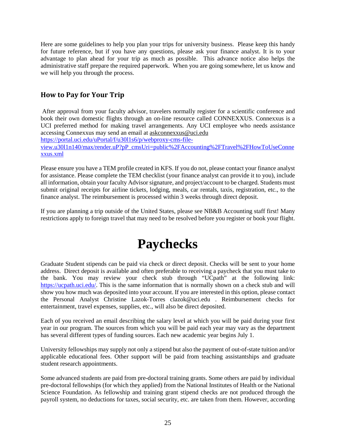Here are some guidelines to help you plan your trips for university business. Please keep this handy for future reference, but if you have any questions, please ask your finance analyst. It is to your advantage to plan ahead for your trip as much as possible. This advance notice also helps the administrative staff prepare the required paperwork. When you are going somewhere, let us know and we will help you through the process.

# <span id="page-24-0"></span>**How to Pay for Your Trip**

After approval from your faculty advisor, travelers normally register for a scientific conference and book their own domestic flights through an on-line resource called CONNEXXUS. Connexxus is a UCI preferred method for making travel arrangements. Any UCI employee who needs assistance accessing Connexxus may send an email at [askconnexxus@uci.edu](mailto:askconnexxus@uci.edu)

[https://portal.uci.edu/uPortal/f/u30l1s6/p/webproxy-cms-file-](https://portal.uci.edu/uPortal/f/u30l1s6/p/webproxy-cms-file-view.u30l1n140/max/render.uP?pP_cmsUri=public%2FAccounting%2FTravel%2FHowToUseConnexxus.xml)

[view.u30l1n140/max/render.uP?pP\\_cmsUri=public%2FAccounting%2FTravel%2FHowToUseConne](https://portal.uci.edu/uPortal/f/u30l1s6/p/webproxy-cms-file-view.u30l1n140/max/render.uP?pP_cmsUri=public%2FAccounting%2FTravel%2FHowToUseConnexxus.xml) [xxus.xml](https://portal.uci.edu/uPortal/f/u30l1s6/p/webproxy-cms-file-view.u30l1n140/max/render.uP?pP_cmsUri=public%2FAccounting%2FTravel%2FHowToUseConnexxus.xml)

Please ensure you have a TEM profile created in KFS. If you do not, please contact your finance analyst for assistance. Please complete the TEM checklist (your finance analyst can provide it to you), include all information, obtain your faculty Advisor signature, and project/account to be charged. Students must submit original receipts for airline tickets, lodging, meals, car rentals, taxis, registration, etc., to the finance analyst. The reimbursement is processed within 3 weeks through direct deposit.

<span id="page-24-1"></span>If you are planning a trip outside of the United States, please see NB&B Accounting staff first! Many restrictions apply to foreign travel that may need to be resolved before you register or book your flight.

# **Paychecks**

Graduate Student stipends can be paid via check or direct deposit. Checks will be sent to your home address. Direct deposit is available and often preferable to receiving a paycheck that you must take to the bank. You may review your check stub through "UCpath" at the following link: [https://ucpath.uci.edu/.](https://ucpath.uci.edu/) This is the same information that is normally shown on a check stub and will show you how much was deposited into your account. If you are interested in this option, please contact the Personal Analyst Christine Lazok-Torres clazok@uci.edu . Reimbursement checks for entertainment, travel expenses, supplies, etc., will also be direct deposited.

Each of you received an email describing the salary level at which you will be paid during your first year in our program. The sources from which you will be paid each year may vary as the department has several different types of funding sources. Each new academic year begins July 1.

University fellowships may supply not only a stipend but also the payment of out-of-state tuition and/or applicable educational fees. Other support will be paid from teaching assistantships and graduate student research appointments.

Some advanced students are paid from pre-doctoral training grants. Some others are paid by individual pre-doctoral fellowships (for which they applied) from the National Institutes of Health or the National Science Foundation. As fellowship and training grant stipend checks are not produced through the payroll system, no deductions for taxes, social security, etc. are taken from them. However, according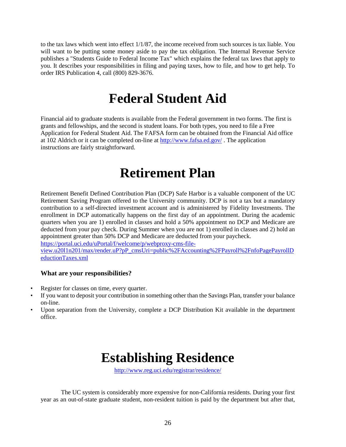to the tax laws which went into effect 1/1/87, the income received from such sources is tax liable. You will want to be putting some money aside to pay the tax obligation. The Internal Revenue Service publishes a "Students Guide to Federal Income Tax" which explains the federal tax laws that apply to you. It describes your responsibilities in filing and paying taxes, how to file, and how to get help. To order IRS Publication 4, call (800) 829-3676.

# **Federal Student Aid**

<span id="page-25-0"></span>Financial aid to graduate students is available from the Federal government in two forms. The first is grants and fellowships, and the second is student loans. For both types, you need to file a Free Application for Federal Student Aid. The FAFSA form can be obtained from the Financial Aid office at 102 Aldrich or it can be completed on-line at<http://www.fafsa.ed.gov/> . The application instructions are fairly straightforward.

# **Retirement Plan**

<span id="page-25-1"></span>Retirement Benefit Defined Contribution Plan (DCP) Safe Harbor is a valuable component of the UC Retirement Saving Program offered to the University community. DCP is not a tax but a mandatory contribution to a self-directed investment account and is administered by Fidelity Investments. The enrollment in DCP automatically happens on the first day of an appointment. During the academic quarters when you are 1) enrolled in classes and hold a 50% appointment no DCP and Medicare are deducted from your pay check. During Summer when you are not 1) enrolled in classes and 2) hold an appointment greater than 50% DCP and Medicare are deducted from your paycheck.

[https://portal.uci.edu/uPortal/f/welcome/p/webproxy-cms-file-](https://portal.uci.edu/uPortal/f/welcome/p/webproxy-cms-file-view.u20l1n201/max/render.uP?pP_cmsUri=public%2FAccounting%2FPayroll%2FnfoPagePayrollDeductionTaxes.xml)

[view.u20l1n201/max/render.uP?pP\\_cmsUri=public%2FAccounting%2FPayroll%2FnfoPagePayrollD](https://portal.uci.edu/uPortal/f/welcome/p/webproxy-cms-file-view.u20l1n201/max/render.uP?pP_cmsUri=public%2FAccounting%2FPayroll%2FnfoPagePayrollDeductionTaxes.xml) [eductionTaxes.xml](https://portal.uci.edu/uPortal/f/welcome/p/webproxy-cms-file-view.u20l1n201/max/render.uP?pP_cmsUri=public%2FAccounting%2FPayroll%2FnfoPagePayrollDeductionTaxes.xml)

### **What are your responsibilities?**

- Register for classes on time, every quarter.
- If you want to deposit your contribution in something other than the Savings Plan, transfer your balance on-line.
- <span id="page-25-2"></span>• Upon separation from the University, complete a DCP Distribution Kit available in the department office.

# **Establishing Residence**

<http://www.reg.uci.edu/registrar/residence/>

The UC system is considerably more expensive for non-California residents. During your first year as an out-of-state graduate student, non-resident tuition is paid by the department but after that,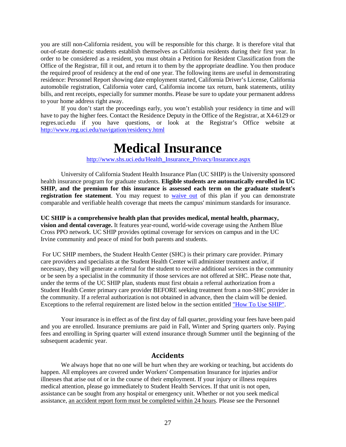you are still non-California resident, you will be responsible for this charge. It is therefore vital that out-of-state domestic students establish themselves as California residents during their first year. In order to be considered as a resident, you must obtain a Petition for Resident Classification from the Office of the Registrar, fill it out, and return it to them by the appropriate deadline. You then produce the required proof of residency at the end of one year. The following items are useful in demonstrating residence: Personnel Report showing date employment started, California Driver's License, California automobile registration, California voter card, California income tax return, bank statements, utility bills, and rent receipts, especially for summer months. Please be sure to update your permanent address to your home address right away.

<span id="page-26-0"></span>If you don't start the proceedings early, you won't establish your residency in time and will have to pay the higher fees. Contact the Residence Deputy in the Office of the Registrar, at X4-6129 or regres.uci.edu if you have questions, or look at the Registrar's Office website at <http://www.reg.uci.edu/navigation/residency.html>

# **Medical Insurance**

[http://www.shs.uci.edu/Health\\_Insurance\\_Privacy/Insurance.aspx](http://www.shs.uci.edu/Health_Insurance_Privacy/Insurance.aspx)

University of California Student Health Insurance Plan (UC SHIP) is the University sponsored health insurance program for graduate students. **Eligible students are automatically enrolled in UC SHIP, and the premium for this insurance is assessed each term on the graduate student's**  registration fee statement. You may request to [waive out](http://www.shs.uci.edu/Health_Insurance_Privacy/Insurance.aspx#WaiverQ) of this plan if you can demonstrate comparable and verifiable health coverage that meets the campus' minimum standards for insurance.

**UC SHIP is a comprehensive health plan that provides medical, mental health, pharmacy, vision and dental coverage.** It features year-round, world-wide coverage using the Anthem Blue Cross PPO network. UC SHIP provides optimal coverage for services on campus and in the UC Irvine community and peace of mind for both parents and students.

For UC SHIP members, the Student Health Center (SHC) is their primary care provider. Primary care providers and specialists at the Student Health Center will administer treatment and/or, if necessary, they will generate a referral for the student to receive additional services in the community or be seen by a specialist in the community if those services are not offered at SHC. Please note that, under the terms of the UC SHIP plan, students must first obtain a referral authorization from a Student Health Center primary care provider BEFORE seeking treatment from a non-SHC provider in the community. If a referral authorization is not obtained in advance, then the claim will be denied. Exceptions to the referral requirement are listed below in the section entitled ["How To Use SHIP".](http://www.shs.uci.edu/Health_Insurance_Privacy/Insurance.aspx#HowToUse)

Your insurance is in effect as of the first day of fall quarter, providing your fees have been paid and you are enrolled. Insurance premiums are paid in Fall, Winter and Spring quarters only. Paying fees and enrolling in Spring quarter will extend insurance through Summer until the beginning of the subsequent academic year.

### **Accidents**

<span id="page-26-1"></span>We always hope that no one will be hurt when they are working or teaching, but accidents do happen. All employees are covered under Workers' Compensation Insurance for injuries and/or illnesses that arise out of or in the course of their employment. If your injury or illness requires medical attention, please go immediately to Student Health Services. If that unit is not open, assistance can be sought from any hospital or emergency unit. Whether or not you seek medical assistance, an accident report form must be completed within 24 hours. Please see the Personnel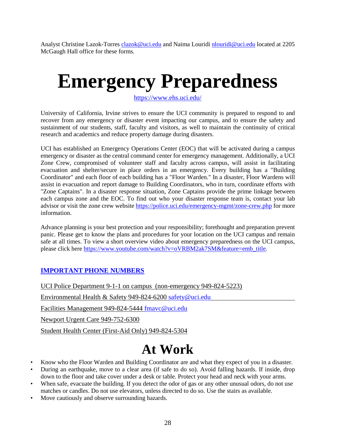Analyst Christine Lazok-Torre[s clazok@uci.edu](mailto:clazok@uci.edu) and Naima Louridi [nlouridi@uci.edu](mailto:nlouridi@uci.edu) located at 2205 McGaugh Hall office for these forms.

# <span id="page-27-0"></span>**Emergency Preparedness**

<https://www.ehs.uci.edu/>

University of California, Irvine strives to ensure the UCI community is prepared to respond to and recover from any emergency or disaster event impacting our campus, and to ensure the safety and sustainment of our students, staff, faculty and visitors, as well to maintain the continuity of critical research and academics and reduce property damage during disasters.

UCI has established an Emergency Operations Center (EOC) that will be activated during a campus emergency or disaster as the central command center for emergency management. Additionally, a UCI Zone Crew, compromised of volunteer staff and faculty across campus, will assist in facilitating evacuation and shelter/secure in place orders in an emergency. Every building has a "Building Coordinator" and each floor of each building has a "Floor Warden." In a disaster, Floor Wardens will assist in evacuation and report damage to Building Coordinators, who in turn, coordinate efforts with "Zone Captains". In a disaster response situation, Zone Captains provide the prime linkage between each campus zone and the EOC. To find out who your disaster response team is, contact your lab advisor or visit the zone crew website<https://police.uci.edu/emergency-mgmt/zone-crew.php> for more information.

Advance planning is your best protection and your responsibility; forethought and preparation prevent panic. Please get to know the plans and procedures for your location on the UCI campus and remain safe at all times. To view a short overview video about emergency preparedness on the UCI campus, please click here [https://www.youtube.com/watch?v=oVRBM2ak7SM&feature=emb\\_title.](https://www.youtube.com/watch?v=oVRBM2ak7SM&feature=emb_title)

# **IMPORTANT PHONE NUMBERS**

UCI Police Department 9-1-1 on campus (non-emergency 949-824-5223)

Environmental Health & Safety 949-824-6200 [safety@uci.edu](mailto:safety@uci.edu)

Facilities Management 949-824-5444 [fmavc@uci.edu](mailto:fmavc@uci.edu)

Newport Urgent Care 949-752-6300

<span id="page-27-1"></span>Student Health Center (First-Aid Only) 949-824-5304

# **At Work**

- Know who the Floor Warden and Building Coordinator are and what they expect of you in a disaster.
- During an earthquake, move to a clear area (if safe to do so). Avoid falling hazards. If inside, drop down to the floor and take cover under a desk or table. Protect your head and neck with your arms.
- When safe, evacuate the building. If you detect the odor of gas or any other unusual odors, do not use matches or candles. Do not use elevators, unless directed to do so. Use the stairs as available.
- Move cautiously and observe surrounding hazards.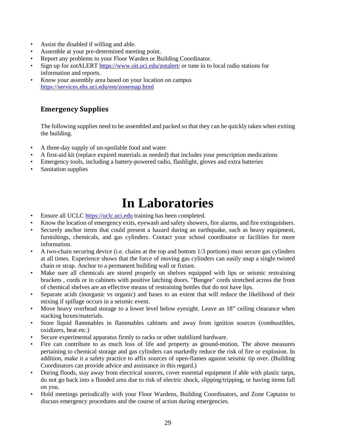- Assist the disabled if willing and able.
- Assemble at your pre-determined meeting point.
- Report any problems to your Floor Warden or Building Coordinator.
- Sign up for zotALERT<https://www.oit.uci.edu/zotalert/> or tune in to local radio stations for information and reports.
- Know your assembly area based on your location on campus <https://services.ehs.uci.edu/em/zonemap.html>

# <span id="page-28-0"></span>**Emergency Supplies**

The following supplies need to be assembled and packed so that they can be quickly taken when exiting the building.

- A three-day supply of un-spoilable food and water
- A first-aid kit (replace expired materials as needed) that includes your prescription medications
- Emergency tools, including a battery-powered radio, flashlight, gloves and extra batteries
- <span id="page-28-1"></span>Sanitation supplies

# **In Laboratories**

- Ensure all UCLC [https://uclc.uci.edu](https://uclc.uci.edu/) training has been completed.
- Know the location of emergency exits, eyewash and safety showers, fire alarms, and fire extinguishers.
- Securely anchor items that could present a hazard during an earthquake, such as heavy equipment, furnishings, chemicals, and gas cylinders. Contact your school coordinator or facilities for more information.
- A two-chain securing device (i.e. chains at the top and bottom  $1/3$  portions) must secure gas cylinders at all times. Experience shows that the force of moving gas cylinders can easily snap a single twisted chain or strap. Anchor to a permanent building wall or fixture.
- Make sure all chemicals are stored properly on shelves equipped with lips or seismic restraining brackets , cords or in cabinets with positive latching doors. "Bungee" cords stretched across the front of chemical shelves are an effective means of restraining bottles that do not have lips.
- Separate acids (inorganic vs organic) and bases to an extent that will reduce the likelihood of their mixing if spillage occurs in a seismic event.
- Move heavy overhead storage to a lower level below eyesight. Leave an 18" ceiling clearance when stacking boxes/materials.
- Store liquid flammables in flammables cabinets and away from ignition sources (combustibles, oxidizers, heat etc.)
- Secure experimental apparatus firmly to racks or other stabilized hardware.
- Fire can contribute to as much loss of life and property as ground-motion. The above measures pertaining to chemical storage and gas cylinders can markedly reduce the risk of fire or explosion. In addition, make it a safety practice to affix sources of open-flames against seismic tip over. (Building Coordinators can provide advice and assistance in this regard.)
- During floods, stay away from electrical sources, cover essential equipment if able with plastic tarps, do not go back into a flooded area due to risk of electric shock, slipping/tripping, or having items fall on you.
- Hold meetings periodically with your Floor Wardens, Building Coordinators, and Zone Captains to discuss emergency procedures and the course of action during emergencies.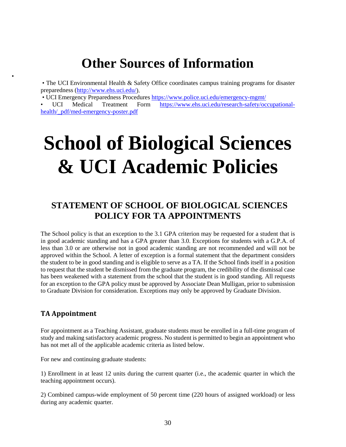# <span id="page-29-1"></span>**Other Sources of Information**

<span id="page-29-0"></span>• The UCI Environmental Health & Safety Office coordinates campus training programs for disaster preparedness [\(http://www.ehs.uci.edu/\)](http://www.ehs.uci.edu/).

• UCI Emergency Preparedness Procedures<https://www.police.uci.edu/emergency-mgmt/>

• UCI Medical Treatment Form [https://www.ehs.uci.edu/research-safety/occupational](https://www.ehs.uci.edu/research-safety/occupational-health/_pdf/med-emergency-poster.pdf)[health/\\_pdf/med-emergency-poster.pdf](https://www.ehs.uci.edu/research-safety/occupational-health/_pdf/med-emergency-poster.pdf)

# **School of Biological Sciences & UCI Academic Policies**

# <span id="page-29-2"></span>**STATEMENT OF SCHOOL OF BIOLOGICAL SCIENCES POLICY FOR TA APPOINTMENTS**

The School policy is that an exception to the 3.1 GPA criterion may be requested for a student that is in good academic standing and has a GPA greater than 3.0. Exceptions for students with a G.P.A. of less than 3.0 or are otherwise not in good academic standing are not recommended and will not be approved within the School. A letter of exception is a formal statement that the department considers the student to be in good standing and is eligible to serve as a TA. If the School finds itself in a position to request that the student be dismissed from the graduate program, the credibility of the dismissal case has been weakened with a statement from the school that the student is in good standing. All requests for an exception to the GPA policy must be approved by Associate Dean Mulligan, prior to submission to Graduate Division for consideration. Exceptions may only be approved by Graduate Division.

# <span id="page-29-3"></span>**TA Appointment**

•

For appointment as a Teaching Assistant, graduate students must be enrolled in a full-time program of study and making satisfactory academic progress. No student is permitted to begin an appointment who has not met all of the applicable academic criteria as listed below.

For new and continuing graduate students:

1) Enrollment in at least 12 units during the current quarter (i.e., the academic quarter in which the teaching appointment occurs).

2) Combined campus-wide employment of 50 percent time (220 hours of assigned workload) or less during any academic quarter.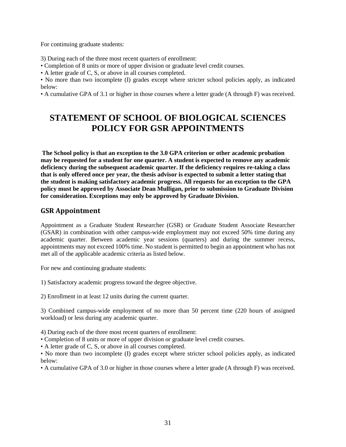For continuing graduate students:

3) During each of the three most recent quarters of enrollment:

• Completion of 8 units or more of upper division or graduate level credit courses.

• A letter grade of C, S, or above in all courses completed.

• No more than two incomplete (I) grades except where stricter school policies apply, as indicated below:

• A cumulative GPA of 3.1 or higher in those courses where a letter grade (A through F) was received.

# <span id="page-30-0"></span>**STATEMENT OF SCHOOL OF BIOLOGICAL SCIENCES POLICY FOR GSR APPOINTMENTS**

**The School policy is that an exception to the 3.0 GPA criterion or other academic probation may be requested for a student for one quarter. A student is expected to remove any academic deficiency during the subsequent academic quarter. If the deficiency requires re-taking a class that is only offered once per year, the thesis advisor is expected to submit a letter stating that the student is making satisfactory academic progress. All requests for an exception to the GPA policy must be approved by Associate Dean Mulligan, prior to submission to Graduate Division for consideration. Exceptions may only be approved by Graduate Division.**

# **GSR Appointment**

Appointment as a Graduate Student Researcher (GSR) or Graduate Student Associate Researcher (GSAR) in combination with other campus-wide employment may not exceed 50% time during any academic quarter. Between academic year sessions (quarters) and during the summer recess, appointments may not exceed 100% time. No student is permitted to begin an appointment who has not met all of the applicable academic criteria as listed below.

For new and continuing graduate students:

1) Satisfactory academic progress toward the degree objective.

2) Enrollment in at least 12 units during the current quarter.

3) Combined campus-wide employment of no more than 50 percent time (220 hours of assigned workload) or less during any academic quarter.

4) During each of the three most recent quarters of enrollment:

• Completion of 8 units or more of upper division or graduate level credit courses.

• A letter grade of C, S, or above in all courses completed.

• No more than two incomplete (I) grades except where stricter school policies apply, as indicated below:

• A cumulative GPA of 3.0 or higher in those courses where a letter grade (A through F) was received.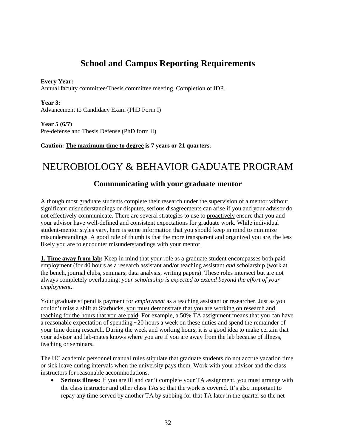# **School and Campus Reporting Requirements**

<span id="page-31-0"></span>**Every Year:**

Annual faculty committee/Thesis committee meeting. Completion of IDP.

**Year 3:** Advancement to Candidacy Exam (PhD Form I)

**Year 5 (6/7)** Pre-defense and Thesis Defense (PhD form II)

**Caution: The maximum time to degree is 7 years or 21 quarters.**

# NEUROBIOLOGY & BEHAVIOR GADUATE PROGRAM

# **Communicating with your graduate mentor**

Although most graduate students complete their research under the supervision of a mentor without significant misunderstandings or disputes, serious disagreements can arise if you and your advisor do not effectively communicate. There are several strategies to use to proactively ensure that you and your advisor have well-defined and consistent expectations for graduate work. While individual student-mentor styles vary, here is some information that you should keep in mind to minimize misunderstandings. A good rule of thumb is that the more transparent and organized you are, the less likely you are to encounter misunderstandings with your mentor.

**1. Time away from lab:** Keep in mind that your role as a graduate student encompasses both paid employment (for 40 hours as a research assistant and/or teaching assistant *and* scholarship (work at the bench, journal clubs, seminars, data analysis, writing papers). These roles intersect but are not always completely overlapping: *your scholarship is expected to extend beyond the effort of your employment*.

Your graduate stipend is payment for *employment* as a teaching assistant or researcher. Just as you couldn't miss a shift at Starbucks, you must demonstrate that you are working on research and teaching for the hours that you are paid. For example, a 50% TA assignment means that you can have a reasonable expectation of spending ~20 hours a week on these duties and spend the remainder of your time doing research. During the week and working hours, it is a good idea to make certain that your advisor and lab-mates knows where you are if you are away from the lab because of illness, teaching or seminars.

The UC academic personnel manual rules stipulate that graduate students do not accrue vacation time or sick leave during intervals when the university pays them. Work with your advisor and the class instructors for reasonable accommodations.

• **Serious illness:** If you are ill and can't complete your TA assignment, you must arrange with the class instructor and other class TAs so that the work is covered. It's also important to repay any time served by another TA by subbing for that TA later in the quarter so the net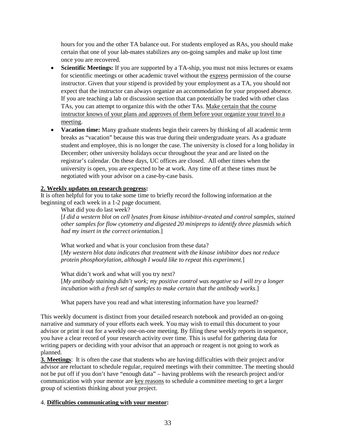hours for you and the other TA balance out. For students employed as RAs, you should make certain that one of your lab-mates stabilizes any on-going samples and make up lost time once you are recovered.

- **Scientific Meetings:** If you are supported by a TA-ship, you must not miss lectures or exams for scientific meetings or other academic travel without the express permission of the course instructor. Given that your stipend is provided by your employment as a TA, you should not expect that the instructor can always organize an accommodation for your proposed absence. If you are teaching a lab or discussion section that can potentially be traded with other class TAs, you can attempt to organize this with the other TAs. Make certain that the course instructor knows of your plans and approves of them before your organize your travel to a meeting.
- **Vacation time:** Many graduate students begin their careers by thinking of all academic term breaks as "vacation" because this was true during their undergraduate years. As a graduate student and employee, this is no longer the case. The university is closed for a long holiday in December; other university holidays occur throughout the year and are listed on the registrar's calendar. On these days, UC offices are closed. All other times when the university is open, you are expected to be at work. Any time off at these times must be negotiated with your advisor on a case-by-case basis.

### **2. Weekly updates on research progress:**

It is often helpful for you to take some time to briefly record the following information at the beginning of each week in a 1-2 page document.

What did you do last week?

[*I did a western blot on cell lysates from kinase inhibitor-treated and control samples, stained other samples for flow cytometry and digested 20 minipreps to identify three plasmids which had my insert in the correct orientatio*n.]

What worked and what is your conclusion from these data? [*My western blot data indicates that treatment with the kinase inhibitor does not reduce protein phosphorylation, although I would like to repeat this experiment.*]

What didn't work and what will you try next? [*My antibody staining didn't work; my positive control was negative so I will try a longer incubation with a fresh set of samples to make certain that the antibody works*.]

What papers have you read and what interesting information have you learned?

This weekly document is distinct from your detailed research notebook and provided an on-going narrative and summary of your efforts each week. You may wish to email this document to your advisor or print it out for a weekly one-on-one meeting. By filing these weekly reports in sequence, you have a clear record of your research activity over time. This is useful for gathering data for writing papers or deciding with your advisor that an approach or reagent is not going to work as planned.

**3. Meetings**: It is often the case that students who are having difficulties with their project and/or advisor are reluctant to schedule regular, required meetings with their committee. The meeting should not be put off if you don't have "enough data" – having problems with the research project and/or communication with your mentor are key reasons to schedule a committee meeting to get a larger group of scientists thinking about your project.

#### 4. **Difficulties communicating with your mentor:**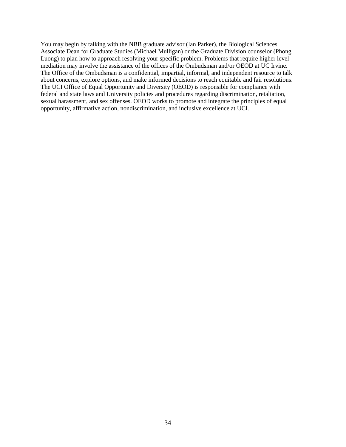You may begin by talking with the NBB graduate advisor (Ian Parker), the Biological Sciences Associate Dean for Graduate Studies (Michael Mulligan) or the Graduate Division counselor (Phong Luong) to plan how to approach resolving your specific problem. Problems that require higher level mediation may involve the assistance of the offices of the Ombudsman and/or OEOD at UC Irvine. The Office of the Ombudsman is a confidential, impartial, informal, and independent resource to talk about concerns, explore options, and make informed decisions to reach equitable and fair resolutions. The UCI Office of Equal Opportunity and Diversity (OEOD) is responsible for compliance with federal and state laws and University policies and procedures regarding discrimination, retaliation, sexual harassment, and sex offenses. OEOD works to promote and integrate the principles of equal opportunity, affirmative action, nondiscrimination, and inclusive excellence at UCI.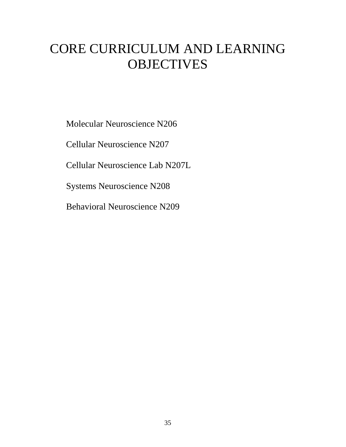# CORE CURRICULUM AND LEARNING **OBJECTIVES**

Molecular Neuroscience N206

Cellular Neuroscience N207

Cellular Neuroscience Lab N207L

Systems Neuroscience N208

Behavioral Neuroscience N209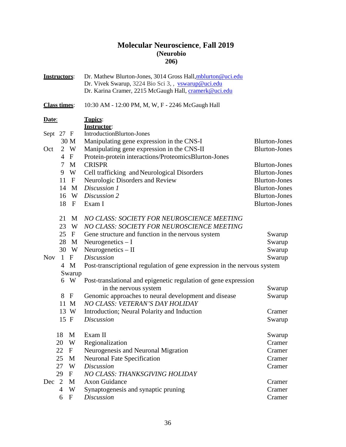# **Molecular Neuroscience**, **Fall 2019 (Neurobio 206)**

|            | <b>Instructors:</b> |                      | Dr. Mathew Blurton-Jones, 3014 Gross Hall, mblurton@uci.edu<br>Dr. Vivek Swarup, 3224 Bio Sci 3, , vswarup@uci.edu<br>Dr. Karina Cramer, 2215 McGaugh Hall, cramerk@uci.edu |                      |
|------------|---------------------|----------------------|-----------------------------------------------------------------------------------------------------------------------------------------------------------------------------|----------------------|
|            | <b>Class times:</b> |                      | 10:30 AM - 12:00 PM, M, W, F - 2246 McGaugh Hall                                                                                                                            |                      |
| Date:      |                     |                      | <b>Topics:</b><br><b>Instructor:</b>                                                                                                                                        |                      |
|            | Sept 27 F           |                      | IntroductionBlurton-Jones                                                                                                                                                   |                      |
|            |                     | 30 M                 | Manipulating gene expression in the CNS-I                                                                                                                                   | <b>Blurton-Jones</b> |
| Oct        |                     | 2 W                  | Manipulating gene expression in the CNS-II                                                                                                                                  | <b>Blurton-Jones</b> |
|            | 4                   | $\mathbf{F}$         | Protein-protein interactions/ProteomicsBlurton-Jones                                                                                                                        |                      |
|            | 7                   | M                    | <b>CRISPR</b>                                                                                                                                                               | <b>Blurton-Jones</b> |
|            | 9                   | W                    | Cell trafficking and Neurological Disorders                                                                                                                                 | <b>Blurton-Jones</b> |
|            | 11                  | $\mathbf{F}$         | Neurologic Disorders and Review                                                                                                                                             | <b>Blurton-Jones</b> |
|            | 14                  | $\mathbf{M}$         | Discussion 1                                                                                                                                                                | <b>Blurton-Jones</b> |
|            | 16                  | W                    | Discussion 2                                                                                                                                                                | <b>Blurton-Jones</b> |
|            | 18                  | $\mathbf{F}$         | Exam I                                                                                                                                                                      | <b>Blurton-Jones</b> |
|            | 21                  | M                    | NO CLASS: SOCIETY FOR NEUROSCIENCE MEETING                                                                                                                                  |                      |
|            | 23                  | W                    | NO CLASS: SOCIETY FOR NEUROSCIENCE MEETING                                                                                                                                  |                      |
|            | 25                  | $\mathbf{F}$         | Gene structure and function in the nervous system                                                                                                                           | Swarup               |
|            | 28                  | M                    | Neurogenetics $-I$                                                                                                                                                          | Swarup               |
|            |                     | 30 W                 | Neurogenetics $-$ II                                                                                                                                                        | Swarup               |
| <b>Nov</b> |                     | 1 F                  | <b>Discussion</b>                                                                                                                                                           | Swarup               |
|            |                     | 4 M                  | Post-transcriptional regulation of gene expression in the nervous system                                                                                                    |                      |
|            |                     | Swarup               |                                                                                                                                                                             |                      |
|            |                     | 6 W                  | Post-translational and epigenetic regulation of gene expression                                                                                                             |                      |
|            | 8                   |                      | in the nervous system                                                                                                                                                       | Swarup               |
|            |                     | $\mathbf{F}$<br>11 M | Genomic approaches to neural development and disease<br>NO CLASS: VETERAN'S DAY HOLIDAY                                                                                     | Swarup               |
|            |                     | 13 W                 |                                                                                                                                                                             | Cramer               |
|            | 15 F                |                      | Introduction; Neural Polarity and Induction<br><b>Discussion</b>                                                                                                            |                      |
|            |                     |                      |                                                                                                                                                                             | Swarup               |
|            | 18                  | M                    | Exam II                                                                                                                                                                     | Swarup               |
|            | 20                  | W                    | Regionalization                                                                                                                                                             | Cramer               |
|            | 22                  | $\mathbf{F}$         | Neurogenesis and Neuronal Migration                                                                                                                                         | Cramer               |
|            | 25                  | M                    | <b>Neuronal Fate Specification</b>                                                                                                                                          | Cramer               |
|            | 27                  | W                    | <b>Discussion</b>                                                                                                                                                           | Cramer               |
|            | 29                  | $\mathbf{F}$         | NO CLASS: THANKSGIVING HOLIDAY                                                                                                                                              |                      |
| Dec        | 2                   | M                    | <b>Axon Guidance</b>                                                                                                                                                        | Cramer               |
|            | $\overline{4}$      | W                    | Synaptogenesis and synaptic pruning                                                                                                                                         | Cramer               |
|            | 6                   | $\mathbf{F}$         | <b>Discussion</b>                                                                                                                                                           | Cramer               |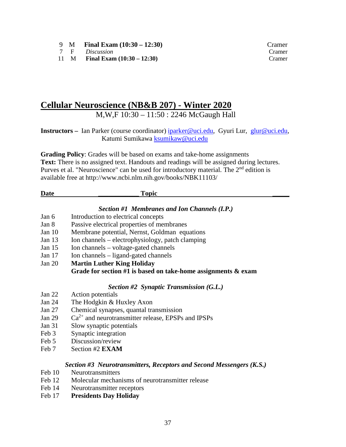- 9 **M Final Exam (10:30 12:30)** Cramer<br>
7 **F** *Discussion* Cramer
- 7 F *Discussion*<br>11 M **Final Exam**
- **Final Exam (10:30 12:30)** Cramer

# **Cellular Neuroscience (NB&B 207) - Winter 2020**

M,W,F 10:30 – 11:50 : 2246 McGaugh Hall

**Instructors –** Ian Parker (course coordinator) [iparker@uci.edu,](mailto:iparker@uci.edu) Gyuri Lur, [glur@uci.edu,](mailto:glur@uci.edu) Katumi Sumikawa [ksumikaw@uci.edu](mailto:ksumikaw@uci.edu)

**Grading Policy**: Grades will be based on exams and take-home assignments **Text:** There is no assigned text. Handouts and readings will be assigned during lectures. Purves et al. "Neuroscience" can be used for introductory material. The 2<sup>nd</sup> edition is available free at http://www.ncbi.nlm.nih.gov/books/NBK11103/

### **Date \_\_\_\_\_\_\_\_\_\_\_\_ Topic \_\_\_\_\_**

### *Section #1 Membranes and Ion Channels (I.P.)*

- Jan 6 Introduction to electrical concepts
- Jan 8 Passive electrical properties of membranes
- Jan 10 Membrane potential, Nernst, Goldman equations
- Jan 13 Ion channels electrophysiology, patch clamping
- Jan 15 Ion channels voltage-gated channels
- Jan 17 Ion channels ligand-gated channels
- Jan 20 **Martin Luther King Holiday Grade for section #1 is based on take-home assignments & exam**

### *Section #2 Synaptic Transmission (G.L.)*

- Jan 22 Action potentials
- Jan 24 The Hodgkin & Huxley Axon
- Jan 27 Chemical synapses, quantal transmission
- Jan 29  $Ca^{2+}$  and neurotransmitter release, EPSPs and IPSPs
- Jan 31 Slow synaptic potentials
- Feb 3 Synaptic integration
- Feb 5 Discussion/review
- Feb 7 Section #2 **EXAM**

#### *Section #3 Neurotransmitters, Receptors and Second Messengers (K.S.)*

- Feb 10 Neurotransmitters
- Feb 12 Molecular mechanisms of neurotransmitter release
- Feb 14 Neurotransmitter receptors
- Feb 17 **Presidents Day Holiday**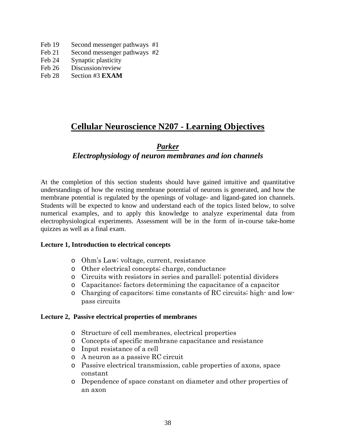- Feb 19 Second messenger pathways #1
- Feb 21 Second messenger pathways #2
- Feb 24 Synaptic plasticity
- Feb 26 Discussion/review
- Feb 28 Section #3 **EXAM**

# **Cellular Neuroscience N207 - Learning Objectives**

# *Parker*

# *Electrophysiology of neuron membranes and ion channels*

At the completion of this section students should have gained intuitive and quantitative understandings of how the resting membrane potential of neurons is generated, and how the membrane potential is regulated by the openings of voltage- and ligand-gated ion channels. Students will be expected to know and understand each of the topics listed below, to solve numerical examples, and to apply this knowledge to analyze experimental data from electrophysiological experiments. Assessment will be in the form of in-course take-home quizzes as well as a final exam.

### **Lecture 1, Introduction to electrical concepts**

- o Ohm's Law; voltage, current, resistance
- o Other electrical concepts; charge, conductance
- o Circuits with resistors in series and parallel; potential dividers
- o Capacitance; factors determining the capacitance of a capacitor
- o Charging of capacitors; time constants of RC circuits; high- and lowpass circuits

### **Lecture 2, Passive electrical properties of membranes**

- o Structure of cell membranes, electrical properties
- o Concepts of specific membrane capacitance and resistance
- o Input resistance of a cell
- o A neuron as a passive RC circuit
- o Passive electrical transmission, cable properties of axons, space constant
- o Dependence of space constant on diameter and other properties of an axon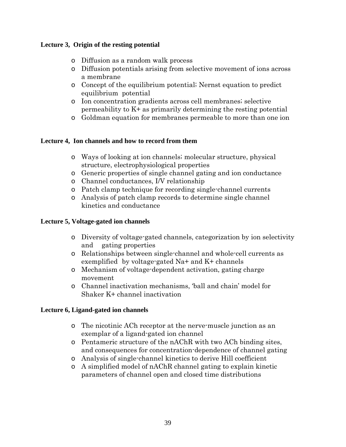# **Lecture 3, Origin of the resting potential**

- o Diffusion as a random walk process
- o Diffusion potentials arising from selective movement of ions across a membrane
- o Concept of the equilibrium potential; Nernst equation to predict equilibrium potential
- o Ion concentration gradients across cell membranes; selective permeability to K+ as primarily determining the resting potential
- o Goldman equation for membranes permeable to more than one ion

# **Lecture 4, Ion channels and how to record from them**

- o Ways of looking at ion channels; molecular structure, physical structure, electrophysiological properties
- o Generic properties of single channel gating and ion conductance
- o Channel conductances, I/V relationship
- o Patch clamp technique for recording single-channel currents
- o Analysis of patch clamp records to determine single channel kinetics and conductance

# **Lecture 5, Voltage-gated ion channels**

- o Diversity of voltage-gated channels, categorization by ion selectivity and gating properties
- o Relationships between single-channel and whole-cell currents as exemplified by voltage-gated Na+ and K+ channels
- o Mechanism of voltage-dependent activation, gating charge movement
- o Channel inactivation mechanisms, 'ball and chain' model for Shaker K+ channel inactivation

# **Lecture 6, Ligand-gated ion channels**

- o The nicotinic ACh receptor at the nerve-muscle junction as an exemplar of a ligand-gated ion channel
- o Pentameric structure of the nAChR with two ACh binding sites, and consequences for concentration-dependence of channel gating
- o Analysis of single-channel kinetics to derive Hill coefficient
- o A simplified model of nAChR channel gating to explain kinetic parameters of channel open and closed time distributions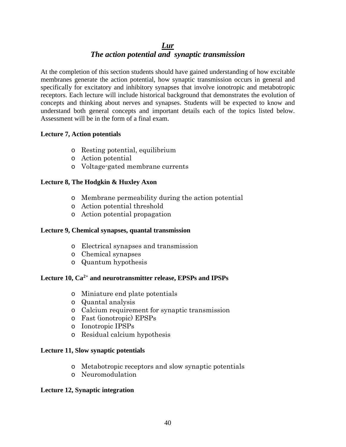# *Lur The action potential and synaptic transmission*

At the completion of this section students should have gained understanding of how excitable membranes generate the action potential, how synaptic transmission occurs in general and specifically for excitatory and inhibitory synapses that involve ionotropic and metabotropic receptors. Each lecture will include historical background that demonstrates the evolution of concepts and thinking about nerves and synapses. Students will be expected to know and understand both general concepts and important details each of the topics listed below. Assessment will be in the form of a final exam.

# **Lecture 7, Action potentials**

- o Resting potential, equilibrium
- o Action potential
- o Voltage-gated membrane currents

# **Lecture 8, The Hodgkin & Huxley Axon**

- o Membrane permeability during the action potential
- o Action potential threshold
- o Action potential propagation

# **Lecture 9, Chemical synapses, quantal transmission**

- o Electrical synapses and transmission
- o Chemical synapses
- o Quantum hypothesis

# **Lecture 10, Ca2+ and neurotransmitter release, EPSPs and IPSPs**

- o Miniature end plate potentials
- o Quantal analysis
- o Calcium requirement for synaptic transmission
- o Fast (ionotropic) EPSPs
- o Ionotropic IPSPs
- o Residual calcium hypothesis

# **Lecture 11, Slow synaptic potentials**

- o Metabotropic receptors and slow synaptic potentials
- o Neuromodulation

# **Lecture 12, Synaptic integration**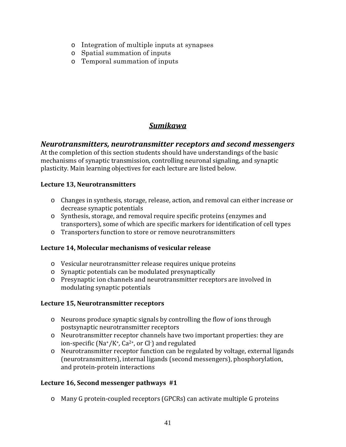- o Integration of multiple inputs at synapses
- o Spatial summation of inputs
- o Temporal summation of inputs

# *Sumikawa*

# *Neurotransmitters, neurotransmitter receptors and second messengers*

At the completion of this section students should have understandings of the basic mechanisms of synaptic transmission, controlling neuronal signaling, and synaptic plasticity. Main learning objectives for each lecture are listed below.

# **Lecture 13, Neurotransmitters**

- o Changes in synthesis, storage, release, action, and removal can either increase or decrease synaptic potentials
- o Synthesis, storage, and removal require specific proteins (enzymes and transporters), some of which are specific markers for identification of cell types
- o Transporters function to store or remove neurotransmitters

# **Lecture 14, Molecular mechanisms of vesicular release**

- o Vesicular neurotransmitter release requires unique proteins
- o Synaptic potentials can be modulated presynaptically
- o Presynaptic ion channels and neurotransmitter receptors are involved in modulating synaptic potentials

# **Lecture 15, Neurotransmitter receptors**

- o Neurons produce synaptic signals by controlling the flow of ions through postsynaptic neurotransmitter receptors
- o Neurotransmitter receptor channels have two important properties: they are ion-specific (Na+/K+*,* Ca2+, or Cl- ) and regulated
- o Neurotransmitter receptor function can be regulated by voltage, external ligands (neurotransmitters), internal ligands (second messengers), phosphorylation, and protein-protein interactions

# **Lecture 16, Second messenger pathways #1**

o Many G protein-coupled receptors (GPCRs) can activate multiple G proteins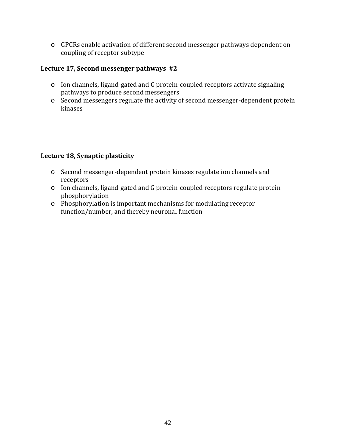o GPCRs enable activation of different second messenger pathways dependent on coupling of receptor subtype

# **Lecture 17, Second messenger pathways #2**

- o Ion channels, ligand-gated and G protein-coupled receptors activate signaling pathways to produce second messengers
- o Second messengers regulate the activity of second messenger-dependent protein kinases

# **Lecture 18, Synaptic plasticity**

- o Second messenger-dependent protein kinases regulate ion channels and receptors
- o Ion channels, ligand-gated and G protein-coupled receptors regulate protein phosphorylation
- o Phosphorylation is important mechanisms for modulating receptor function/number, and thereby neuronal function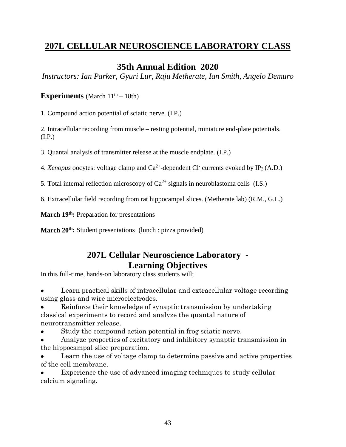# **207L CELLULAR NEUROSCIENCE LABORATORY CLASS**

# **35th Annual Edition 2020**

*Instructors: Ian Parker, Gyuri Lur, Raju Metherate, Ian Smith, Angelo Demuro*

# **Experiments** (March  $11<sup>th</sup> - 18th$ )

1. Compound action potential of sciatic nerve. (I.P.)

2. Intracellular recording from muscle – resting potential, miniature end-plate potentials. (I.P.)

3. Quantal analysis of transmitter release at the muscle endplate. (I.P.)

4. *Xenopus* oocytes: voltage clamp and  $Ca^{2+}$ -dependent Cl<sup>-</sup> currents evoked by IP<sub>3</sub> (A.D.)

5. Total internal reflection microscopy of  $Ca^{2+}$  signals in neuroblastoma cells (I.S.)

6. Extracellular field recording from rat hippocampal slices. (Metherate lab) (R.M., G.L.)

March 19<sup>th</sup>: Preparation for presentations

**March 20<sup>th</sup>:** Student presentations (lunch : pizza provided)

# **207L Cellular Neuroscience Laboratory - Learning Objectives**

In this full-time, hands-on laboratory class students will;

• Learn practical skills of intracellular and extracellular voltage recording using glass and wire microelectrodes.

• Reinforce their knowledge of synaptic transmission by undertaking classical experiments to record and analyze the quantal nature of neurotransmitter release.

• Study the compound action potential in frog sciatic nerve.

• Analyze properties of excitatory and inhibitory synaptic transmission in the hippocampal slice preparation.

Learn the use of voltage clamp to determine passive and active properties of the cell membrane.

Experience the use of advanced imaging techniques to study cellular calcium signaling.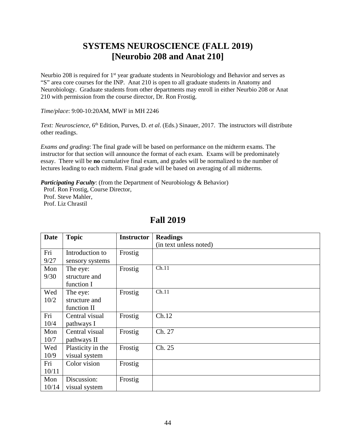# **SYSTEMS NEUROSCIENCE (FALL 2019) [Neurobio 208 and Anat 210]**

Neurbio 208 is required for  $1<sup>st</sup>$  year graduate students in Neurobiology and Behavior and serves as "S" area core courses for the INP. Anat 210 is open to all graduate students in Anatomy and Neurobiology. Graduate students from other departments may enroll in either Neurbio 208 or Anat 210 with permission from the course director, Dr. Ron Frostig.

*Time/place*: 9:00-10:20AM, MWF in MH 2246

*Text: Neuroscience*, 6<sup>th</sup> Edition, Purves, D. *et al.* (Eds.) Sinauer, 2017. The instructors will distribute other readings.

*Exams and grading*: The final grade will be based on performance on the midterm exams. The instructor for that section will announce the format of each exam. Exams will be predominately essay. There will be **no** cumulative final exam, and grades will be normalized to the number of lectures leading to each midterm. Final grade will be based on averaging of all midterms.

*Participating Faculty:* (from the Department of Neurobiology & Behavior)

Prof. Ron Frostig, Course Director, Prof. Steve Mahler, Prof. Liz Chrastil

| <b>Date</b> | <b>Topic</b>      | <b>Instructor</b> | <b>Readings</b>        |
|-------------|-------------------|-------------------|------------------------|
|             |                   |                   | (in text unless noted) |
| Fri         | Introduction to   | Frostig           |                        |
| 9/27        | sensory systems   |                   |                        |
| Mon         | The eye:          | Frostig           | Ch.11                  |
| 9/30        | structure and     |                   |                        |
|             | function I        |                   |                        |
| Wed         | The eye:          | Frostig           | Ch.11                  |
| 10/2        | structure and     |                   |                        |
|             | function II       |                   |                        |
| Fri         | Central visual    | Frostig           | Ch.12                  |
| 10/4        | pathways I        |                   |                        |
| Mon         | Central visual    | Frostig           | Ch. 27                 |
| 10/7        | pathways II       |                   |                        |
| Wed         | Plasticity in the | Frostig           | Ch. 25                 |
| 10/9        | visual system     |                   |                        |
| Fri         | Color vision      | Frostig           |                        |
| 10/11       |                   |                   |                        |
| Mon         | Discussion:       | Frostig           |                        |
| 10/14       | visual system     |                   |                        |

# **Fall 2019**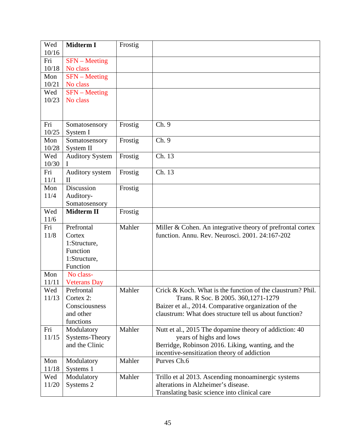| Wed   | <b>Midterm I</b>                   | Frostig |                                                            |
|-------|------------------------------------|---------|------------------------------------------------------------|
| 10/16 |                                    |         |                                                            |
| Fri   | $SFN - Meeting$                    |         |                                                            |
| 10/18 | No class                           |         |                                                            |
| Mon   | $\overline{\text{SFN}}$ – Meeting  |         |                                                            |
| 10/21 | No class                           |         |                                                            |
| Wed   | $SFN - Meeting$                    |         |                                                            |
| 10/23 | No class                           |         |                                                            |
|       |                                    |         |                                                            |
|       |                                    |         |                                                            |
| Fri   | Somatosensory                      | Frostig | Ch. 9                                                      |
| 10/25 | System I                           |         |                                                            |
| Mon   | Somatosensory                      | Frostig | Ch. 9                                                      |
| 10/28 | System II                          |         |                                                            |
| Wed   | <b>Auditory System</b>             | Frostig | Ch. 13                                                     |
| 10/30 | L                                  |         |                                                            |
| Fri   | Auditory system                    | Frostig | Ch. 13                                                     |
| 11/1  | $\mathop{\rm II}\nolimits$         |         |                                                            |
| Mon   | Discussion                         | Frostig |                                                            |
| 11/4  | Auditory-                          |         |                                                            |
| Wed   | Somatosensory<br><b>Midterm II</b> |         |                                                            |
| 11/6  |                                    | Frostig |                                                            |
| Fri   | Prefrontal                         | Mahler  | Miller & Cohen. An integrative theory of prefrontal cortex |
| 11/8  | Cortex                             |         | function. Annu. Rev. Neurosci. 2001. 24:167-202            |
|       | 1:Structure,                       |         |                                                            |
|       | Function                           |         |                                                            |
|       | 1:Structure,                       |         |                                                            |
|       | Function                           |         |                                                            |
| Mon   | No class-                          |         |                                                            |
| 11/11 | <b>Veterans</b> Day                |         |                                                            |
| Wed   | Prefrontal                         | Mahler  | Crick & Koch. What is the function of the claustrum? Phil. |
| 11/13 | Cortex 2:                          |         | Trans. R Soc. B 2005. 360, 1271-1279                       |
|       | Consciousness                      |         | Baizer et al., 2014. Comparative organization of the       |
|       | and other                          |         | claustrum: What does structure tell us about function?     |
|       | functions                          |         |                                                            |
| Fri   | Modulatory                         | Mahler  | Nutt et al., 2015 The dopamine theory of addiction: 40     |
| 11/15 | Systems-Theory                     |         | years of highs and lows                                    |
|       | and the Clinic                     |         | Berridge, Robinson 2016. Liking, wanting, and the          |
|       |                                    |         | incentive-sensitization theory of addiction                |
| Mon   | Modulatory                         | Mahler  | Purves Ch.6                                                |
| 11/18 | Systems 1                          |         |                                                            |
| Wed   | Modulatory                         | Mahler  | Trillo et al 2013. Ascending monoaminergic systems         |
| 11/20 | Systems 2                          |         | alterations in Alzheimer's disease.                        |
|       |                                    |         | Translating basic science into clinical care               |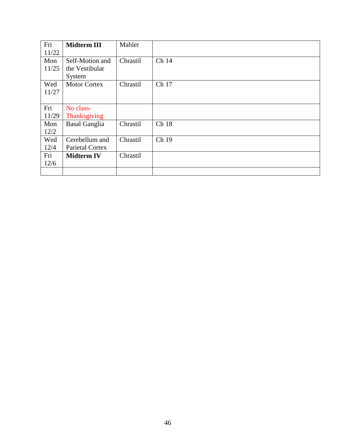| Fri   | <b>Midterm III</b>   | Mahler   |       |
|-------|----------------------|----------|-------|
| 11/22 |                      |          |       |
| Mon   | Self-Motion and      | Chrastil | Ch 14 |
| 11/25 | the Vestibular       |          |       |
|       | System               |          |       |
| Wed   | <b>Motor Cortex</b>  | Chrastil | Ch 17 |
| 11/27 |                      |          |       |
|       |                      |          |       |
| Fri   | No class-            |          |       |
| 11/29 | <b>Thanksgiving</b>  |          |       |
| Mon   | <b>Basal Ganglia</b> | Chrastil | Ch 18 |
| 12/2  |                      |          |       |
| Wed   | Cerebellum and       | Chrastil | Ch 19 |
| 12/4  | Parietal Cortex      |          |       |
| Fri   | <b>Midterm IV</b>    | Chrastil |       |
| 12/6  |                      |          |       |
|       |                      |          |       |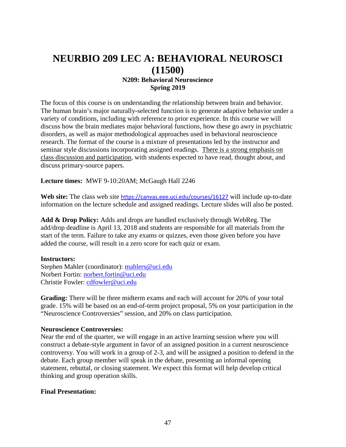# **NEURBIO 209 LEC A: BEHAVIORAL NEUROSCI (11500)**

# **N209: Behavioral Neuroscience Spring 2019**

The focus of this course is on understanding the relationship between brain and behavior. The human brain's major naturally-selected function is to generate adaptive behavior under a variety of conditions, including with reference to prior experience. In this course we will discuss how the brain mediates major behavioral functions, how these go awry in psychiatric disorders, as well as major methodological approaches used in behavioral neuroscience research. The format of the course is a mixture of presentations led by the instructor and seminar style discussions incorporating assigned readings. There is a strong emphasis on class discussion and participation, with students expected to have read, thought about, and discuss primary-source papers.

### **Lecture times:** MWF 9-10:20AM; McGaugh Hall 2246

Web site: The class web site https://canvas.eee.uci.edu/courses/16127 will include up-to-date information on the lecture schedule and assigned readings. Lecture slides will also be posted.

**Add & Drop Policy:** Adds and drops are handled exclusively through WebReg. The add/drop deadline is April 13, 2018 and students are responsible for all materials from the start of the term. Failure to take any exams or quizzes, even those given before you have added the course, will result in a zero score for each quiz or exam.

### **Instructors:**

Stephen Mahler (coordinator): [mahlers@uci.edu](mailto:mahlers@uci.edu) Norbert Fortin: [norbert.fortin@uci.edu](mailto:norbert.fortin@uci.edu) Christie Fowler: [cdfowler@uci.edu](mailto:cdfowler@uci.edu)

**Grading:** There will be three midterm exams and each will account for 20% of your total grade. 15% will be based on an end-of-term project proposal, 5% on your participation in the "Neuroscience Controversies" session, and 20% on class participation.

# **Neuroscience Controversies:**

Near the end of the quarter, we will engage in an active learning session where you will construct a debate-style argument in favor of an assigned position in a current neuroscience controversy. You will work in a group of 2-3, and will be assigned a position to defend in the debate. Each group member will speak in the debate, presenting an informal opening statement, rebuttal, or closing statement. We expect this format will help develop critical thinking and group operation skills.

### **Final Presentation:**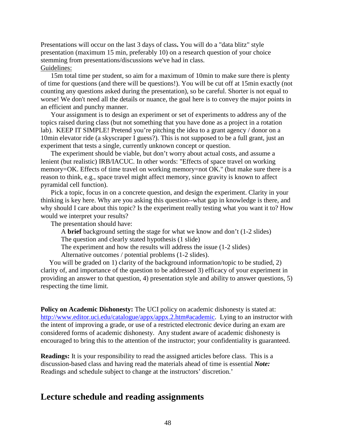Presentations will occur on the last 3 days of class**.** You will do a "data blitz" style presentation (maximum 15 min, preferably 10) on a research question of your choice stemming from presentations/discussions we've had in class. Guidelines:

15m total time per student, so aim for a maximum of 10min to make sure there is plenty of time for questions (and there will be questions!). You will be cut off at 15min exactly (not counting any questions asked during the presentation), so be careful. Shorter is not equal to worse! We don't need all the details or nuance, the goal here is to convey the major points in an efficient and punchy manner.

Your assignment is to design an experiment or set of experiments to address any of the topics raised during class (but not something that you have done as a project in a rotation lab). KEEP IT SIMPLE! Pretend you're pitching the idea to a grant agency / donor on a 10min elevator ride (a skyscraper I guess?). This is not supposed to be a full grant, just an experiment that tests a single, currently unknown concept or question.

The experiment should be viable, but don't worry about actual costs, and assume a lenient (but realistic) IRB/IACUC. In other words: "Effects of space travel on working memory=OK. Effects of time travel on working memory=not OK." (but make sure there is a reason to think, e.g., space travel might affect memory, since gravity is known to affect pyramidal cell function).

Pick a topic, focus in on a concrete question, and design the experiment. Clarity in your thinking is key here. Why are you asking this question--what gap in knowledge is there, and why should I care about this topic? Is the experiment really testing what you want it to? How would we interpret your results?

The presentation should have:

A **brief** background setting the stage for what we know and don't (1-2 slides)

The question and clearly stated hypothesis (1 slide)

The experiment and how the results will address the issue (1-2 slides)

Alternative outcomes / potential problems (1-2 slides).

 You will be graded on 1) clarity of the background information/topic to be studied, 2) clarity of, and importance of the question to be addressed 3) efficacy of your experiment in providing an answer to that question, 4) presentation style and ability to answer questions, 5) respecting the time limit.

**Policy on Academic Dishonesty:** The UCI policy on academic dishonesty is stated at: [http://www.editor.uci.edu/catalogue/appx/appx.2.htm#academic.](http://www.editor.uci.edu/catalogue/appx/appx.2.htm#academic) Lying to an instructor with the intent of improving a grade, or use of a restricted electronic device during an exam are considered forms of academic dishonesty. Any student aware of academic dishonesty is encouraged to bring this to the attention of the instructor; your confidentiality is guaranteed.

**Readings:** It is your responsibility to read the assigned articles before class. This is a discussion-based class and having read the materials ahead of time is essential *Note:* Readings and schedule subject to change at the instructors' discretion.'

# **Lecture schedule and reading assignments**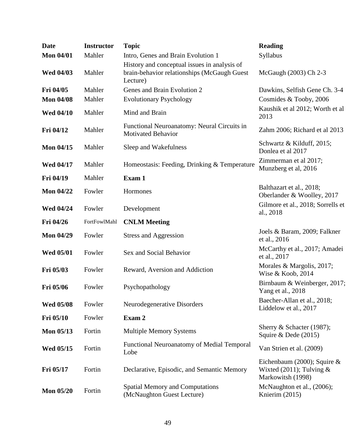| <b>Date</b>      | <b>Instructor</b> | <b>Topic</b>                                                                                            | <b>Reading</b>                                                                    |
|------------------|-------------------|---------------------------------------------------------------------------------------------------------|-----------------------------------------------------------------------------------|
| <b>Mon 04/01</b> | Mahler            | Intro, Genes and Brain Evolution 1                                                                      | Syllabus                                                                          |
| <b>Wed 04/03</b> | Mahler            | History and conceptual issues in analysis of<br>brain-behavior relationships (McGaugh Guest<br>Lecture) | McGaugh (2003) Ch 2-3                                                             |
| Fri 04/05        | Mahler            | Genes and Brain Evolution 2                                                                             | Dawkins, Selfish Gene Ch. 3-4                                                     |
| <b>Mon 04/08</b> | Mahler            | <b>Evolutionary Psychology</b>                                                                          | Cosmides & Tooby, 2006                                                            |
| <b>Wed 04/10</b> | Mahler            | Mind and Brain                                                                                          | Kaushik et al 2012; Worth et al<br>2013                                           |
| Fri 04/12        | Mahler            | Functional Neuroanatomy: Neural Circuits in<br><b>Motivated Behavior</b>                                | Zahm 2006; Richard et al 2013                                                     |
| <b>Mon 04/15</b> | Mahler            | Sleep and Wakefulness                                                                                   | Schwartz & Kilduff, 2015;<br>Donlea et al 2017                                    |
| <b>Wed 04/17</b> | Mahler            | Homeostasis: Feeding, Drinking & Temperature                                                            | Zimmerman et al 2017;<br>Munzberg et al, 2016                                     |
| Fri 04/19        | Mahler            | Exam 1                                                                                                  |                                                                                   |
| <b>Mon 04/22</b> | Fowler            | Hormones                                                                                                | Balthazart et al., 2018;<br>Oberlander & Woolley, 2017                            |
| <b>Wed 04/24</b> | Fowler            | Development                                                                                             | Gilmore et al., 2018; Sorrells et<br>al., 2018                                    |
| Fri 04/26        | FortFowlMahl      | <b>CNLM</b> Meeting                                                                                     |                                                                                   |
| <b>Mon 04/29</b> | Fowler            | <b>Stress and Aggression</b>                                                                            | Joels & Baram, 2009; Falkner<br>et al., 2016                                      |
| <b>Wed 05/01</b> | Fowler            | Sex and Social Behavior                                                                                 | McCarthy et al., 2017; Amadei<br>et al., 2017                                     |
| Fri 05/03        | Fowler            | Reward, Aversion and Addiction                                                                          | Morales & Margolis, 2017;<br>Wise & Koob, 2014                                    |
| Fri 05/06        | Fowler            | Psychopathology                                                                                         | Birnbaum & Weinberger, 2017;<br>Yang et al., 2018                                 |
| <b>Wed 05/08</b> | Fowler            | Neurodegenerative Disorders                                                                             | Baecher-Allan et al., 2018;<br>Liddelow et al., 2017                              |
| Fri 05/10        | Fowler            | Exam 2                                                                                                  |                                                                                   |
| <b>Mon 05/13</b> | Fortin            | <b>Multiple Memory Systems</b>                                                                          | Sherry & Schacter (1987);<br>Squire & Dede $(2015)$                               |
| Wed 05/15        | Fortin            | <b>Functional Neuroanatomy of Medial Temporal</b><br>Lobe                                               | Van Strien et al. (2009)                                                          |
| Fri 05/17        | Fortin            | Declarative, Episodic, and Semantic Memory                                                              | Eichenbaum (2000); Squire $&$<br>Wixted $(2011)$ ; Tulving &<br>Markowitsh (1998) |
| <b>Mon 05/20</b> | Fortin            | <b>Spatial Memory and Computations</b><br>(McNaughton Guest Lecture)                                    | McNaughton et al., (2006);<br>Knierim (2015)                                      |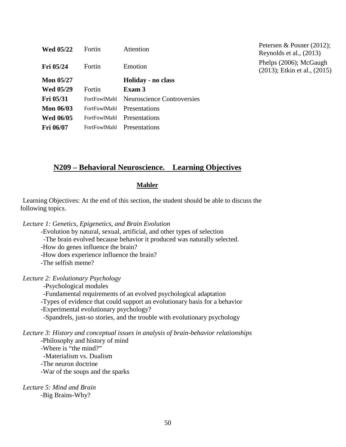| <b>Wed 05/22</b> | Fortin              | Attention                         |
|------------------|---------------------|-----------------------------------|
| Fri 05/24        | Fortin              | Emotion                           |
| <b>Mon 05/27</b> |                     | Holiday - no class                |
| <b>Wed 05/29</b> | Fortin              | Exam 3                            |
| <b>Fri 05/31</b> | FortFowlMahl        | <b>Neuroscience Controversies</b> |
| <b>Mon 06/03</b> | FortFowlMahl        | Presentations                     |
| <b>Wed 06/05</b> | <b>FortFowlMahl</b> | Presentations                     |
| <b>Fri 06/07</b> | FortFowlMahl        | Presentations                     |

Petersen & Posner (2012); Reynolds et al., (2013) Phelps (2006); McGaugh (2013); Etkin et al., (2015)

# **N209 – Behavioral Neuroscience. Learning Objectives**

#### **Mahler**

Learning Objectives: At the end of this section, the student should be able to discuss the following topics.

*Lecture 1: Genetics, Epigenetics, and Brain Evolution*

-Evolution by natural, sexual, artificial, and other types of selection

-The brain evolved because behavior it produced was naturally selected.

-How do genes influence the brain?

-How does experience influence the brain?

-The selfish meme?

*Lecture 2: Evolutionary Psychology*

-Psychological modules

-Fundamental requirements of an evolved psychological adaptation

-Types of evidence that could support an evolutionary basis for a behavior

-Experimental evolutionary psychology?

-Spandrels, just-so stories, and the trouble with evolutionary psychology

# *Lecture 3: History and conceptual issues in analysis of brain-behavior relationships*

-Philosophy and history of mind

-Where is "the mind?" -Materialism vs. Dualism

-The neuron doctrine

-War of the soups and the sparks

*Lecture 5: Mind and Brain* -Big Brains-Why?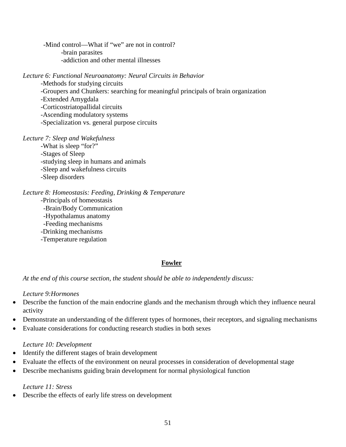-Mind control—What if "we" are not in control? -brain parasites -addiction and other mental illnesses

*Lecture 6: Functional Neuroanatomy: Neural Circuits in Behavior*

-Methods for studying circuits -Groupers and Chunkers: searching for meaningful principals of brain organization -Extended Amygdala -Corticostriatopallidal circuits -Ascending modulatory systems -Specialization vs. general purpose circuits

*Lecture 7: Sleep and Wakefulness*

-What is sleep "for?" -Stages of Sleep -studying sleep in humans and animals -Sleep and wakefulness circuits -Sleep disorders

*Lecture 8: Homeostasis: Feeding, Drinking & Temperature*

-Principals of homeostasis -Brain/Body Communication -Hypothalamus anatomy -Feeding mechanisms -Drinking mechanisms -Temperature regulation

# **Fowler**

*At the end of this course section, the student should be able to independently discuss:*

# *Lecture 9:Hormones*

- Describe the function of the main endocrine glands and the mechanism through which they influence neural activity
- Demonstrate an understanding of the different types of hormones, their receptors, and signaling mechanisms
- Evaluate considerations for conducting research studies in both sexes

# *Lecture 10: Development*

- Identify the different stages of brain development
- Evaluate the effects of the environment on neural processes in consideration of developmental stage
- Describe mechanisms guiding brain development for normal physiological function

# *Lecture 11: Stress*

• Describe the effects of early life stress on development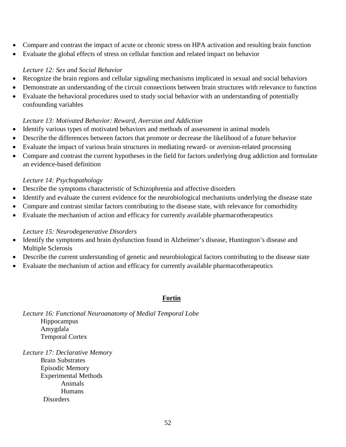- Compare and contrast the impact of acute or chronic stress on HPA activation and resulting brain function
- Evaluate the global effects of stress on cellular function and related impact on behavior

# *Lecture 12: Sex and Social Behavior*

- Recognize the brain regions and cellular signaling mechanisms implicated in sexual and social behaviors
- Demonstrate an understanding of the circuit connections between brain structures with relevance to function
- Evaluate the behavioral procedures used to study social behavior with an understanding of potentially confounding variables

# *Lecture 13: Motivated Behavior: Reward, Aversion and Addiction*

- Identify various types of motivated behaviors and methods of assessment in animal models
- Describe the differences between factors that promote or decrease the likelihood of a future behavior
- Evaluate the impact of various brain structures in mediating reward- or aversion-related processing
- Compare and contrast the current hypotheses in the field for factors underlying drug addiction and formulate an evidence-based definition

# *Lecture 14: Psychopathology*

- Describe the symptoms characteristic of Schizophrenia and affective disorders
- Identify and evaluate the current evidence for the neurobiological mechanisms underlying the disease state
- Compare and contrast similar factors contributing to the disease state, with relevance for comorbidity
- Evaluate the mechanism of action and efficacy for currently available pharmacotherapeutics

# *Lecture 15: Neurodegenerative Disorders*

- Identify the symptoms and brain dysfunction found in Alzheimer's disease, Huntington's disease and Multiple Sclerosis
- Describe the current understanding of genetic and neurobiological factors contributing to the disease state
- Evaluate the mechanism of action and efficacy for currently available pharmacotherapeutics

# **Fortin**

*Lecture 16: Functional Neuroanatomy of Medial Temporal Lobe* Hippocampus Amygdala Temporal Cortex

*Lecture 17: Declarative Memory* Brain Substrates Episodic Memory Experimental Methods Animals **Humans Disorders**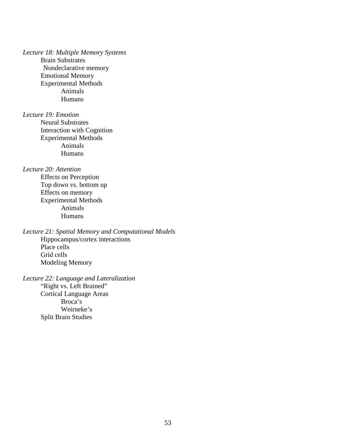*Lecture 18: Multiple Memory Systems*

Brain Substrates Nondeclarative memory Emotional Memory Experimental Methods Animals Humans

*Lecture 19: Emotion*

Neural Substrates Interaction with Cognition Experimental Methods Animals Humans

*Lecture 20: Attention*

Effects on Perception Top down vs. bottom up Effects on memory Experimental Methods Animals Humans

*Lecture 21: Spatial Memory and Computational Models* Hippocampus/cortex interactions Place cells Grid cells Modeling Memory

*Lecture 22: Language and Lateralization* "Right vs. Left Brained" Cortical Language Areas Broca's Weirneke's Split Brain Studies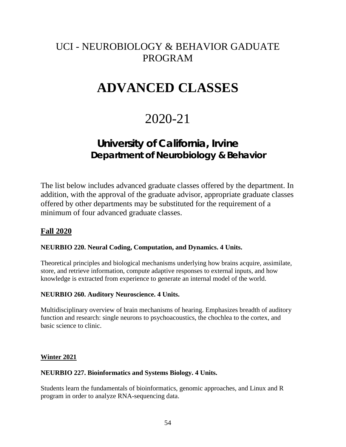# UCI - NEUROBIOLOGY & BEHAVIOR GADUATE PROGRAM

# **ADVANCED CLASSES**

# 2020-21

# **University of California, Irvine Department of Neurobiology & Behavior**

The list below includes advanced graduate classes offered by the department. In addition, with the approval of the graduate advisor, appropriate graduate classes offered by other departments may be substituted for the requirement of a minimum of four advanced graduate classes.

# **Fall 2020**

# **NEURBIO 220. Neural Coding, Computation, and Dynamics. 4 Units.**

Theoretical principles and biological mechanisms underlying how brains acquire, assimilate, store, and retrieve information, compute adaptive responses to external inputs, and how knowledge is extracted from experience to generate an internal model of the world.

### **NEURBIO 260. Auditory Neuroscience. 4 Units.**

Multidisciplinary overview of brain mechanisms of hearing. Emphasizes breadth of auditory function and research: single neurons to psychoacoustics, the chochlea to the cortex, and basic science to clinic.

### **Winter 2021**

### **NEURBIO 227. Bioinformatics and Systems Biology. 4 Units.**

Students learn the fundamentals of bioinformatics, genomic approaches, and Linux and R program in order to analyze RNA-sequencing data.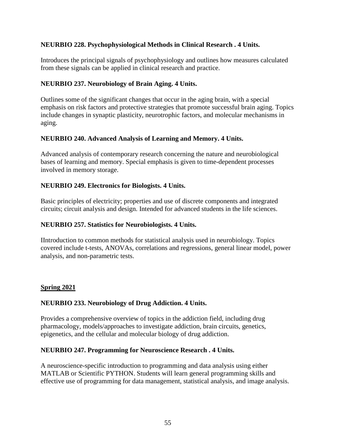# **NEURBIO 228. Psychophysiological Methods in Clinical Research . 4 Units.**

Introduces the principal signals of psychophysiology and outlines how measures calculated from these signals can be applied in clinical research and practice.

# **NEURBIO 237. Neurobiology of Brain Aging. 4 Units.**

Outlines some of the significant changes that occur in the aging brain, with a special emphasis on risk factors and protective strategies that promote successful brain aging. Topics include changes in synaptic plasticity, neurotrophic factors, and molecular mechanisms in aging.

# **NEURBIO 240. Advanced Analysis of Learning and Memory. 4 Units.**

Advanced analysis of contemporary research concerning the nature and neurobiological bases of learning and memory. Special emphasis is given to time-dependent processes involved in memory storage.

# **NEURBIO 249. Electronics for Biologists. 4 Units.**

Basic principles of electricity; properties and use of discrete components and integrated circuits; circuit analysis and design. Intended for advanced students in the life sciences.

# **NEURBIO 257. Statistics for Neurobiologists. 4 Units.**

IIntroduction to common methods for statistical analysis used in neurobiology. Topics covered include t-tests, ANOVAs, correlations and regressions, general linear model, power analysis, and non-parametric tests.

# **Spring 2021**

# **NEURBIO 233. Neurobiology of Drug Addiction. 4 Units.**

Provides a comprehensive overview of topics in the addiction field, including drug pharmacology, models/approaches to investigate addiction, brain circuits, genetics, epigenetics, and the cellular and molecular biology of drug addiction.

# **NEURBIO 247. Programming for Neuroscience Research . 4 Units.**

A neuroscience-specific introduction to programming and data analysis using either MATLAB or Scientific PYTHON. Students will learn general programming skills and effective use of programming for data management, statistical analysis, and image analysis.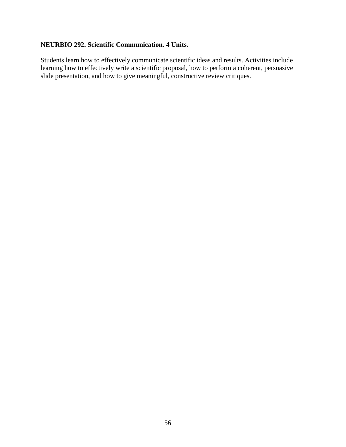# **NEURBIO 292. Scientific Communication. 4 Units.**

Students learn how to effectively communicate scientific ideas and results. Activities include learning how to effectively write a scientific proposal, how to perform a coherent, persuasive slide presentation, and how to give meaningful, constructive review critiques.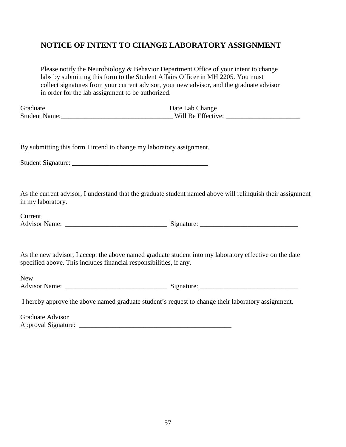# **NOTICE OF INTENT TO CHANGE LABORATORY ASSIGNMENT**

|                                                                      | Please notify the Neurobiology & Behavior Department Office of your intent to change<br>labs by submitting this form to the Student Affairs Officer in MH 2205. You must |
|----------------------------------------------------------------------|--------------------------------------------------------------------------------------------------------------------------------------------------------------------------|
|                                                                      | collect signatures from your current advisor, your new advisor, and the graduate advisor                                                                                 |
| in order for the lab assignment to be authorized.                    |                                                                                                                                                                          |
| Graduate                                                             | Date Lab Change                                                                                                                                                          |
|                                                                      |                                                                                                                                                                          |
| By submitting this form I intend to change my laboratory assignment. |                                                                                                                                                                          |
|                                                                      |                                                                                                                                                                          |
| in my laboratory.                                                    | As the current advisor, I understand that the graduate student named above will relinquish their assignment                                                              |
| Current                                                              |                                                                                                                                                                          |
|                                                                      |                                                                                                                                                                          |
| specified above. This includes financial responsibilities, if any.   | As the new advisor, I accept the above named graduate student into my laboratory effective on the date                                                                   |
| <b>New</b>                                                           |                                                                                                                                                                          |
|                                                                      |                                                                                                                                                                          |
|                                                                      | I hereby approve the above named graduate student's request to change their laboratory assignment.                                                                       |
| <b>Graduate Advisor</b>                                              |                                                                                                                                                                          |
| Approval Signature: _________________                                |                                                                                                                                                                          |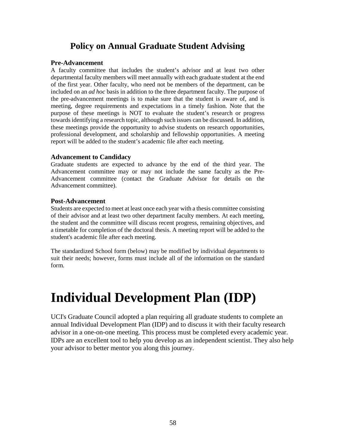# **Policy on Annual Graduate Student Advising**

### **Pre-Advancement**

A faculty committee that includes the student's advisor and at least two other departmental faculty members will meet annually with each graduate student at the end of the first year. Other faculty, who need not be members of the department, can be included on an *ad hoc* basis in addition to the three department faculty. The purpose of the pre-advancement meetings is to make sure that the student is aware of, and is meeting, degree requirements and expectations in a timely fashion. Note that the purpose of these meetings is NOT to evaluate the student's research or progress towards identifying a research topic, although such issues can be discussed. In addition, these meetings provide the opportunity to advise students on research opportunities, professional development, and scholarship and fellowship opportunities. A meeting report will be added to the student's academic file after each meeting.

### **Advancement to Candidacy**

Graduate students are expected to advance by the end of the third year. The Advancement committee may or may not include the same faculty as the Pre-Advancement committee (contact the Graduate Advisor for details on the Advancement committee).

### **Post-Advancement**

Students are expected to meet at least once each year with a thesis committee consisting of their advisor and at least two other department faculty members. At each meeting, the student and the committee will discuss recent progress, remaining objectives, and a timetable for completion of the doctoral thesis. A meeting report will be added to the student's academic file after each meeting.

The standardized School form (below) may be modified by individual departments to suit their needs; however, forms must include all of the information on the standard form.

# **Individual Development Plan (IDP)**

UCI's Graduate Council adopted a plan requiring all graduate students to complete an annual Individual Development Plan (IDP) and to discuss it with their faculty research advisor in a one-on-one meeting. This process must be completed every academic year. IDPs are an excellent tool to help you develop as an independent scientist. They also help your advisor to better mentor you along this journey.